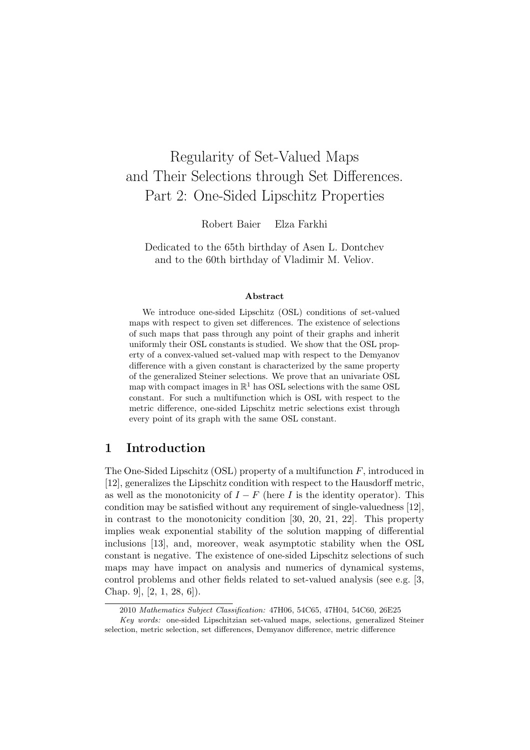# Regularity of Set-Valued Maps and Their Selections through Set Differences. Part 2: One-Sided Lipschitz Properties

Robert Baier Elza Farkhi

Dedicated to the 65th birthday of Asen L. Dontchev and to the 60th birthday of Vladimir M. Veliov.

#### Abstract

We introduce one-sided Lipschitz (OSL) conditions of set-valued maps with respect to given set differences. The existence of selections of such maps that pass through any point of their graphs and inherit uniformly their OSL constants is studied. We show that the OSL property of a convex-valued set-valued map with respect to the Demyanov difference with a given constant is characterized by the same property of the generalized Steiner selections. We prove that an univariate OSL map with compact images in  $\mathbb{R}^1$  has OSL selections with the same OSL constant. For such a multifunction which is OSL with respect to the metric difference, one-sided Lipschitz metric selections exist through every point of its graph with the same OSL constant.

## 1 Introduction

The One-Sided Lipschitz (OSL) property of a multifunction  $F$ , introduced in [12], generalizes the Lipschitz condition with respect to the Hausdorff metric, as well as the monotonicity of  $I - F$  (here I is the identity operator). This condition may be satisfied without any requirement of single-valuedness [12], in contrast to the monotonicity condition [30, 20, 21, 22]. This property implies weak exponential stability of the solution mapping of differential inclusions [13], and, moreover, weak asymptotic stability when the OSL constant is negative. The existence of one-sided Lipschitz selections of such maps may have impact on analysis and numerics of dynamical systems, control problems and other fields related to set-valued analysis (see e.g. [3, Chap. 9], [2, 1, 28, 6]).

<sup>2010</sup> Mathematics Subject Classification: 47H06, 54C65, 47H04, 54C60, 26E25

Key words: one-sided Lipschitzian set-valued maps, selections, generalized Steiner selection, metric selection, set differences, Demyanov difference, metric difference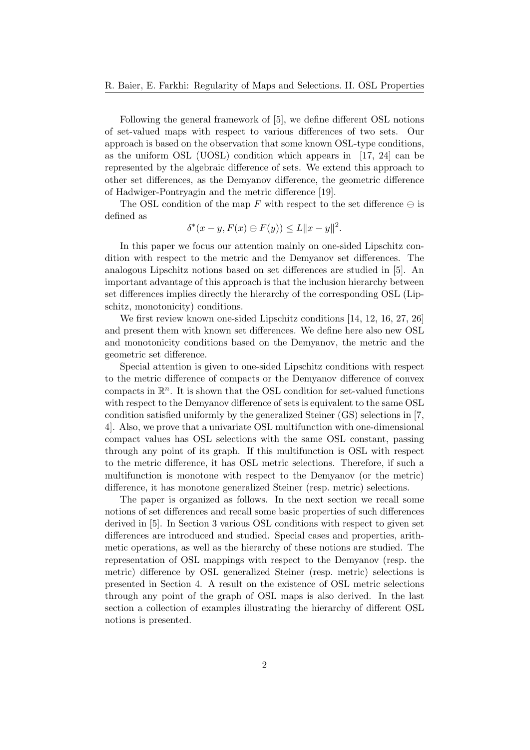Following the general framework of [5], we define different OSL notions of set-valued maps with respect to various differences of two sets. Our approach is based on the observation that some known OSL-type conditions, as the uniform OSL (UOSL) condition which appears in [17, 24] can be represented by the algebraic difference of sets. We extend this approach to other set differences, as the Demyanov difference, the geometric difference of Hadwiger-Pontryagin and the metric difference [19].

The OSL condition of the map F with respect to the set difference  $\ominus$  is defined as

$$
\delta^*(x - y, F(x) \ominus F(y)) \le L \|x - y\|^2.
$$

In this paper we focus our attention mainly on one-sided Lipschitz condition with respect to the metric and the Demyanov set differences. The analogous Lipschitz notions based on set differences are studied in [5]. An important advantage of this approach is that the inclusion hierarchy between set differences implies directly the hierarchy of the corresponding OSL (Lipschitz, monotonicity) conditions.

We first review known one-sided Lipschitz conditions [14, 12, 16, 27, 26] and present them with known set differences. We define here also new OSL and monotonicity conditions based on the Demyanov, the metric and the geometric set difference.

Special attention is given to one-sided Lipschitz conditions with respect to the metric difference of compacts or the Demyanov difference of convex compacts in  $\mathbb{R}^n$ . It is shown that the OSL condition for set-valued functions with respect to the Demyanov difference of sets is equivalent to the same OSL condition satisfied uniformly by the generalized Steiner (GS) selections in [7, 4]. Also, we prove that a univariate OSL multifunction with one-dimensional compact values has OSL selections with the same OSL constant, passing through any point of its graph. If this multifunction is OSL with respect to the metric difference, it has OSL metric selections. Therefore, if such a multifunction is monotone with respect to the Demyanov (or the metric) difference, it has monotone generalized Steiner (resp. metric) selections.

The paper is organized as follows. In the next section we recall some notions of set differences and recall some basic properties of such differences derived in [5]. In Section 3 various OSL conditions with respect to given set differences are introduced and studied. Special cases and properties, arithmetic operations, as well as the hierarchy of these notions are studied. The representation of OSL mappings with respect to the Demyanov (resp. the metric) difference by OSL generalized Steiner (resp. metric) selections is presented in Section 4. A result on the existence of OSL metric selections through any point of the graph of OSL maps is also derived. In the last section a collection of examples illustrating the hierarchy of different OSL notions is presented.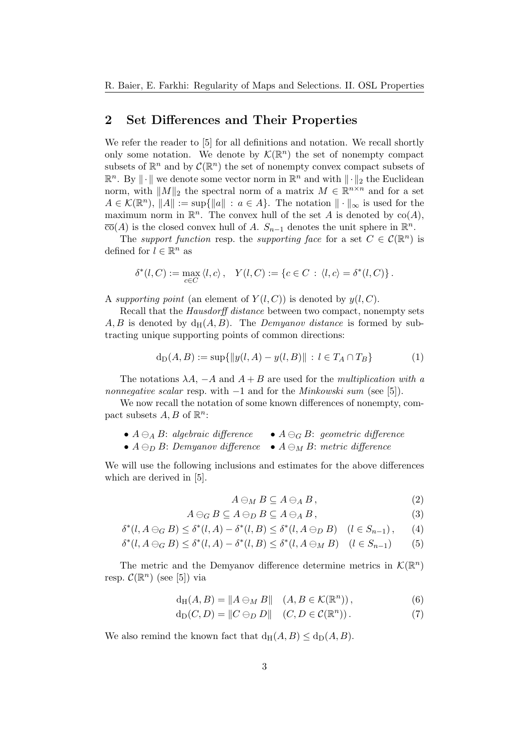### 2 Set Differences and Their Properties

We refer the reader to [5] for all definitions and notation. We recall shortly only some notation. We denote by  $\mathcal{K}(\mathbb{R}^n)$  the set of nonempty compact subsets of  $\mathbb{R}^n$  and by  $\mathcal{C}(\mathbb{R}^n)$  the set of nonempty convex compact subsets of  $\mathbb{R}^n$ . By  $\|\cdot\|$  we denote some vector norm in  $\mathbb{R}^n$  and with  $\|\cdot\|_2$  the Euclidean norm, with  $||M||_2$  the spectral norm of a matrix  $M \in \mathbb{R}^{n \times n}$  and for a set  $A \in \mathcal{K}(\mathbb{R}^n)$ ,  $||A|| := \sup{||a|| : a \in A}$ . The notation  $|| \cdot ||_{\infty}$  is used for the maximum norm in  $\mathbb{R}^n$ . The convex hull of the set A is denoted by  $co(A)$ ,  $\overline{\text{co}}(A)$  is the closed convex hull of A.  $S_{n-1}$  denotes the unit sphere in  $\mathbb{R}^n$ .

The support function resp. the supporting face for a set  $C \in \mathcal{C}(\mathbb{R}^n)$  is defined for  $l \in \mathbb{R}^n$  as

$$
\delta^*(l, C) := \max_{c \in C} \langle l, c \rangle, \quad Y(l, C) := \{c \in C \, : \, \langle l, c \rangle = \delta^*(l, C)\}.
$$

A supporting point (an element of  $Y(l, C)$ ) is denoted by  $y(l, C)$ .

Recall that the *Hausdorff distance* between two compact, nonempty sets  $A, B$  is denoted by  $d_H(A, B)$ . The *Demyanov distance* is formed by subtracting unique supporting points of common directions:

$$
d_D(A, B) := \sup\{\|y(l, A) - y(l, B)\| : l \in T_A \cap T_B\}
$$
 (1)

The notations  $\lambda A$ ,  $-A$  and  $A + B$  are used for the *multiplication with a* nonnegative scalar resp. with  $-1$  and for the *Minkowski sum* (see [5]).

We now recall the notation of some known differences of nonempty, compact subsets  $A, B$  of  $\mathbb{R}^n$ :

- $A \ominus_A B$ : algebraic difference  $A \ominus_G B$ : geometric difference
- $A \ominus_D B$ : Demyanov difference  $A \ominus_M B$ : metric difference

We will use the following inclusions and estimates for the above differences which are derived in [5].

$$
A \ominus_M B \subseteq A \ominus_A B, \tag{2}
$$

$$
A \ominus_G B \subseteq A \ominus_D B \subseteq A \ominus_A B, \tag{3}
$$

$$
\delta^*(l, A \ominus_G B) \le \delta^*(l, A) - \delta^*(l, B) \le \delta^*(l, A \ominus_D B) \quad (l \in S_{n-1}), \tag{4}
$$

$$
\delta^*(l, A \ominus_G B) \le \delta^*(l, A) - \delta^*(l, B) \le \delta^*(l, A \ominus_M B) \quad (l \in S_{n-1}) \tag{5}
$$

The metric and the Demyanov difference determine metrics in  $\mathcal{K}(\mathbb{R}^n)$ resp.  $\mathcal{C}(\mathbb{R}^n)$  (see [5]) via

$$
d_H(A, B) = \|A \ominus_M B\| \quad (A, B \in \mathcal{K}(\mathbb{R}^n)), \tag{6}
$$

$$
d_D(C, D) = ||C \ominus_D D|| \quad (C, D \in \mathcal{C}(\mathbb{R}^n)).
$$
\n(7)

We also remind the known fact that  $d_H(A, B) \leq d_D(A, B)$ .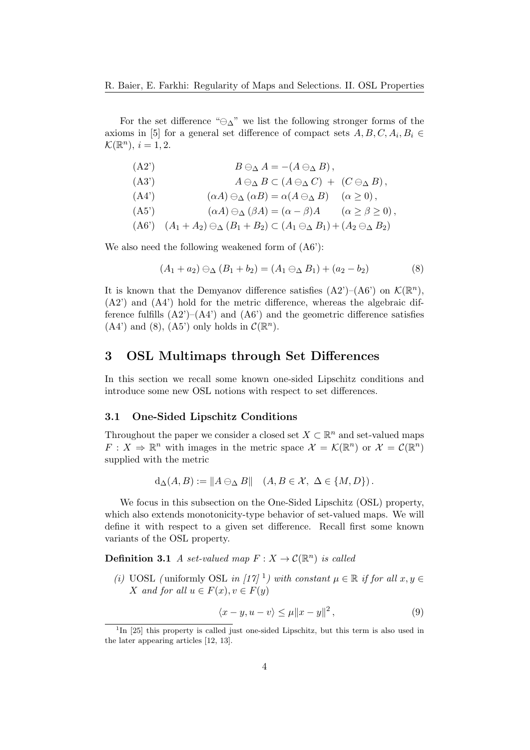For the set difference " $\ominus_{\Delta}$ " we list the following stronger forms of the axioms in [5] for a general set difference of compact sets  $A, B, C, A_i, B_i \in$  $\mathcal{K}(\mathbb{R}^n), i=1,2.$ 

| $(A2^{\prime})$ | $B\ominus_{\Delta} A = -(A\ominus_{\Delta} B),$                                                                    |  |
|-----------------|--------------------------------------------------------------------------------------------------------------------|--|
| (A3')           | $A \ominus_{\Delta} B \subset (A \ominus_{\Delta} C) + (C \ominus_{\Delta} B),$                                    |  |
| (A4')           | $(\alpha A) \ominus_{\Delta} (\alpha B) = \alpha (A \ominus_{\Delta} B) \quad (\alpha \geq 0),$                    |  |
| $(A5^{\prime})$ | $(\alpha A) \ominus_{\Delta} (\beta A) = (\alpha - \beta)A \qquad (\alpha \ge \beta \ge 0),$                       |  |
|                 | $(A6')$ $(A_1 + A_2) \ominus_{\Delta} (B_1 + B_2) \subset (A_1 \ominus_{\Delta} B_1) + (A_2 \ominus_{\Delta} B_2)$ |  |

We also need the following weakened form of  $(A6')$ :

$$
(A_1 + a_2) \ominus_{\Delta} (B_1 + b_2) = (A_1 \ominus_{\Delta} B_1) + (a_2 - b_2)
$$
 (8)

It is known that the Demyanov difference satisfies  $(A2')-(A6')$  on  $\mathcal{K}(\mathbb{R}^n)$ , (A2') and (A4') hold for the metric difference, whereas the algebraic difference fulfills  $(A2')-(A4')$  and  $(A6')$  and the geometric difference satisfies  $(A4')$  and  $(8)$ ,  $(A5')$  only holds in  $\mathcal{C}(\mathbb{R}^n)$ .

## 3 OSL Multimaps through Set Differences

In this section we recall some known one-sided Lipschitz conditions and introduce some new OSL notions with respect to set differences.

#### 3.1 One-Sided Lipschitz Conditions

Throughout the paper we consider a closed set  $X \subset \mathbb{R}^n$  and set-valued maps  $F: X \Rightarrow \mathbb{R}^n$  with images in the metric space  $\mathcal{X} = \mathcal{K}(\mathbb{R}^n)$  or  $\mathcal{X} = \mathcal{C}(\mathbb{R}^n)$ supplied with the metric

$$
d_{\Delta}(A, B) := \|A \ominus_{\Delta} B\| \quad (A, B \in \mathcal{X}, \ \Delta \in \{M, D\}).
$$

We focus in this subsection on the One-Sided Lipschitz (OSL) property, which also extends monotonicity-type behavior of set-valued maps. We will define it with respect to a given set difference. Recall first some known variants of the OSL property.

**Definition 3.1** A set-valued map  $F: X \to C(\mathbb{R}^n)$  is called

(i) UOSL (uniformly OSL in [17]<sup>1</sup>) with constant  $\mu \in \mathbb{R}$  if for all  $x, y \in$ X and for all  $u \in F(x), v \in F(y)$ 

$$
\langle x - y, u - v \rangle \le \mu \|x - y\|^2, \tag{9}
$$

<sup>&</sup>lt;sup>1</sup>In [25] this property is called just one-sided Lipschitz, but this term is also used in the later appearing articles [12, 13].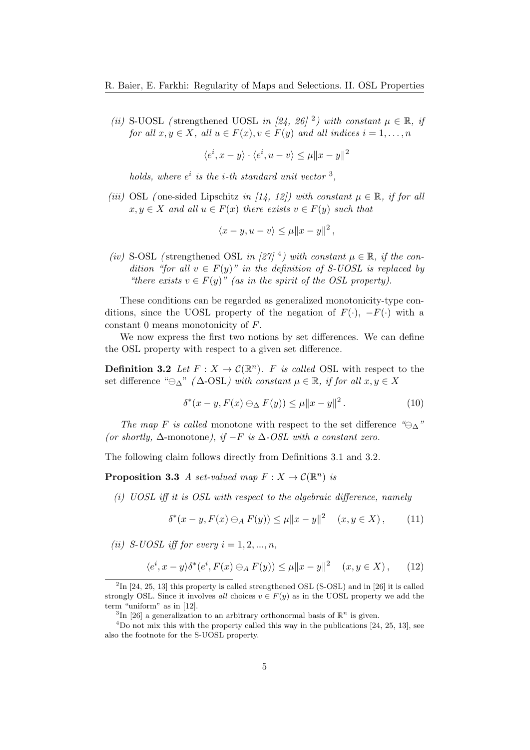(ii) S-UOSL (strengthened UOSL in [24, 26]<sup>2</sup>) with constant  $\mu \in \mathbb{R}$ , if for all  $x, y \in X$ , all  $u \in F(x), v \in F(y)$  and all indices  $i = 1, \ldots, n$ 

 $\langle e^i, x-y \rangle \cdot \langle e^i, u-v \rangle \leq \mu \|x-y\|^2$ 

holds, where  $e^i$  is the *i*-th standard unit vector <sup>3</sup>,

(iii) OSL (one-sided Lipschitz in [14, 12]) with constant  $\mu \in \mathbb{R}$ , if for all  $x, y \in X$  and all  $u \in F(x)$  there exists  $v \in F(y)$  such that

$$
\langle x-y, u-v\rangle \le \mu \|x-y\|^2,
$$

(iv) S-OSL (strengthened OSL in [27]<sup>4</sup>) with constant  $\mu \in \mathbb{R}$ , if the condition "for all  $v \in F(y)$ " in the definition of S-UOSL is replaced by "there exists  $v \in F(y)$ " (as in the spirit of the OSL property).

These conditions can be regarded as generalized monotonicity-type conditions, since the UOSL property of the negation of  $F(\cdot)$ ,  $-F(\cdot)$  with a constant 0 means monotonicity of F.

We now express the first two notions by set differences. We can define the OSL property with respect to a given set difference.

**Definition 3.2** Let  $F: X \to \mathcal{C}(\mathbb{R}^n)$ . F is called OSL with respect to the set difference " $\ominus_{\Delta}$ " ( $\Delta$ -OSL) with constant  $\mu \in \mathbb{R}$ , if for all  $x, y \in X$ 

$$
\delta^*(x - y, F(x) \ominus_{\Delta} F(y)) \le \mu \|x - y\|^2. \tag{10}
$$

The map F is called monotone with respect to the set difference " $\ominus_{\Delta}$ " (or shortly,  $\Delta$ -monotone), if  $-F$  is  $\Delta$ -OSL with a constant zero.

The following claim follows directly from Definitions 3.1 and 3.2.

**Proposition 3.3** A set-valued map  $F: X \to C(\mathbb{R}^n)$  is

(i) UOSL iff it is OSL with respect to the algebraic difference, namely

$$
\delta^*(x - y, F(x) \ominus_A F(y)) \le \mu \|x - y\|^2 \quad (x, y \in X), \tag{11}
$$

(ii) S-UOSL iff for every  $i = 1, 2, ..., n$ ,

$$
\langle e^i, x - y \rangle \delta^*(e^i, F(x) \ominus_A F(y)) \le \mu \|x - y\|^2 \quad (x, y \in X), \quad (12)
$$

 ${}^{2}\text{In}$  [24, 25, 13] this property is called strengthened OSL (S-OSL) and in [26] it is called strongly OSL. Since it involves all choices  $v \in F(y)$  as in the UOSL property we add the term "uniform" as in [12].

<sup>&</sup>lt;sup>3</sup>In [26] a generalization to an arbitrary orthonormal basis of  $\mathbb{R}^n$  is given.

<sup>&</sup>lt;sup>4</sup>Do not mix this with the property called this way in the publications [24, 25, 13], see also the footnote for the S-UOSL property.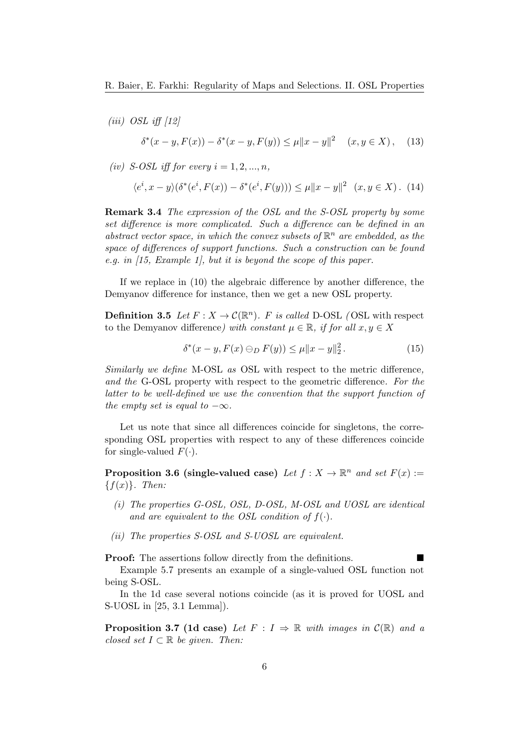- $(iii)$  OSL iff  $[12]$  $\delta^*(x - y, F(x)) - \delta^*(x - y, F(y)) \leq \mu ||x - y||^2 \quad (x, y \in X),$  (13)
- (iv) S-OSL iff for every  $i = 1, 2, ..., n$ ,

$$
\langle e^i, x - y \rangle (\delta^*(e^i, F(x)) - \delta^*(e^i, F(y))) \le \mu \|x - y\|^2 \ (x, y \in X). \tag{14}
$$

Remark 3.4 The expression of the OSL and the S-OSL property by some set difference is more complicated. Such a difference can be defined in an abstract vector space, in which the convex subsets of  $\mathbb{R}^n$  are embedded, as the space of differences of support functions. Such a construction can be found e.g. in [15, Example 1], but it is beyond the scope of this paper.

If we replace in (10) the algebraic difference by another difference, the Demyanov difference for instance, then we get a new OSL property.

**Definition 3.5** Let  $F: X \to C(\mathbb{R}^n)$ . F is called D-OSL (OSL with respect to the Demyanov difference) with constant  $\mu \in \mathbb{R}$ , if for all  $x, y \in X$ 

$$
\delta^*(x - y, F(x) \ominus_D F(y)) \le \mu \|x - y\|_2^2. \tag{15}
$$

Similarly we define M-OSL as OSL with respect to the metric difference, and the G-OSL property with respect to the geometric difference. For the latter to be well-defined we use the convention that the support function of the empty set is equal to  $-\infty$ .

Let us note that since all differences coincide for singletons, the corresponding OSL properties with respect to any of these differences coincide for single-valued  $F(\cdot)$ .

**Proposition 3.6 (single-valued case)** Let  $f: X \to \mathbb{R}^n$  and set  $F(x) :=$  ${f(x)}$ . Then:

- (i) The properties G-OSL, OSL, D-OSL, M-OSL and UOSL are identical and are equivalent to the OSL condition of  $f(\cdot)$ .
- (ii) The properties S-OSL and S-UOSL are equivalent.

Proof: The assertions follow directly from the definitions.

Example 5.7 presents an example of a single-valued OSL function not being S-OSL.

In the 1d case several notions coincide (as it is proved for UOSL and S-UOSL in [25, 3.1 Lemma]).

**Proposition 3.7 (1d case)** Let  $F : I \Rightarrow \mathbb{R}$  with images in  $C(\mathbb{R})$  and a closed set  $I \subset \mathbb{R}$  be given. Then: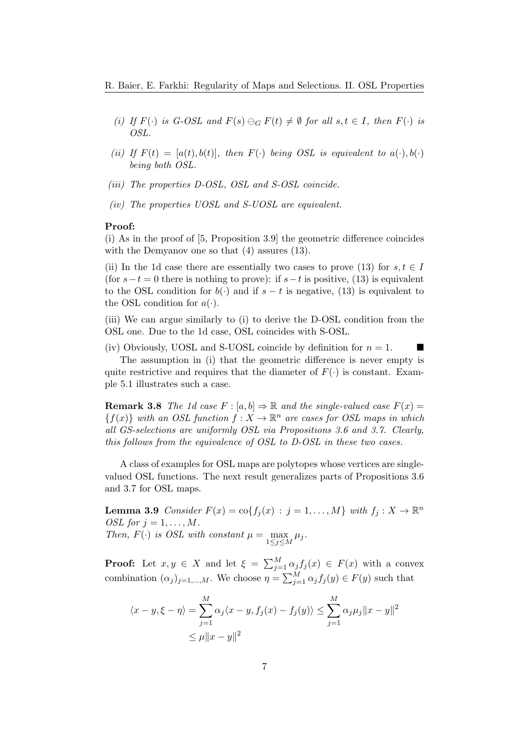- (i) If  $F(\cdot)$  is G-OSL and  $F(s) \ominus_G F(t) \neq \emptyset$  for all  $s, t \in I$ , then  $F(\cdot)$  is OSL.
- (ii) If  $F(t) = [a(t), b(t)]$ , then  $F(\cdot)$  being OSL is equivalent to  $a(\cdot), b(\cdot)$ being both OSL.
- (iii) The properties D-OSL, OSL and S-OSL coincide.
- (iv) The properties UOSL and S-UOSL are equivalent.

#### Proof:

(i) As in the proof of [5, Proposition 3.9] the geometric difference coincides with the Demyanov one so that  $(4)$  assures  $(13)$ .

(ii) In the 1d case there are essentially two cases to prove (13) for  $s, t \in I$ (for  $s-t=0$  there is nothing to prove): if  $s-t$  is positive, (13) is equivalent to the OSL condition for  $b(\cdot)$  and if  $s - t$  is negative, (13) is equivalent to the OSL condition for  $a(\cdot)$ .

(iii) We can argue similarly to (i) to derive the D-OSL condition from the OSL one. Due to the 1d case, OSL coincides with S-OSL.

(iv) Obviously, UOSL and S-UOSL coincide by definition for  $n = 1$ . The assumption in (i) that the geometric difference is never empty is quite restrictive and requires that the diameter of  $F(\cdot)$  is constant. Example 5.1 illustrates such a case.

**Remark 3.8** The 1d case  $F : [a, b] \Rightarrow \mathbb{R}$  and the single-valued case  $F(x) =$  ${f(x)}$  with an OSL function  $f: X \to \mathbb{R}^n$  are cases for OSL maps in which all GS-selections are uniformly OSL via Propositions 3.6 and 3.7. Clearly, this follows from the equivalence of OSL to D-OSL in these two cases.

A class of examples for OSL maps are polytopes whose vertices are singlevalued OSL functions. The next result generalizes parts of Propositions 3.6 and 3.7 for OSL maps.

**Lemma 3.9** Consider  $F(x) = \text{co} \{ f_j(x) : j = 1, ..., M \}$  with  $f_j : X \to \mathbb{R}^n$ OSL for  $j = 1, \ldots, M$ . Then,  $F(\cdot)$  is OSL with constant  $\mu = \max_{1 \leq j \leq M} \mu_j$ .

**Proof:** Let  $x, y \in X$  and let  $\xi = \sum_{j=1}^{M} \alpha_j f_j(x) \in F(x)$  with a convex combination  $(\alpha_j)_{j=1,\dots,M}$ . We choose  $\eta = \sum_{j=1}^M \alpha_j f_j(y) \in F(y)$  such that

$$
\langle x - y, \xi - \eta \rangle = \sum_{j=1}^{M} \alpha_j \langle x - y, f_j(x) - f_j(y) \rangle \le \sum_{j=1}^{M} \alpha_j \mu_j ||x - y||^2
$$
  

$$
\le \mu ||x - y||^2
$$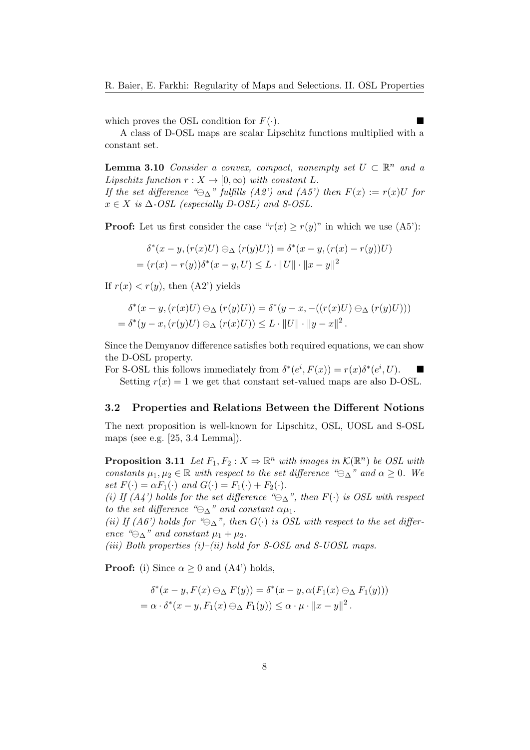which proves the OSL condition for  $F(\cdot)$ .

A class of D-OSL maps are scalar Lipschitz functions multiplied with a constant set.

**Lemma 3.10** Consider a convex, compact, nonempty set  $U \subset \mathbb{R}^n$  and a Lipschitz function  $r : X \to [0, \infty)$  with constant L.

If the set difference " $\ominus_{\Lambda}$ " fulfills (A2') and (A5') then  $F(x) := r(x)U$  for  $x \in X$  is  $\Delta$ -OSL (especially D-OSL) and S-OSL.

**Proof:** Let us first consider the case " $r(x) \ge r(y)$ " in which we use (A5'):

$$
\delta^*(x - y, (r(x)U) \ominus_{\Delta} (r(y)U)) = \delta^*(x - y, (r(x) - r(y))U)
$$
  
=  $(r(x) - r(y))\delta^*(x - y, U) \leq L \cdot ||U|| \cdot ||x - y||^2$ 

If  $r(x) < r(y)$ , then  $(A2^{\prime})$  yields

$$
\delta^*(x - y, (r(x)U) \ominus_{\Delta} (r(y)U)) = \delta^*(y - x, -((r(x)U) \ominus_{\Delta} (r(y)U)))
$$
  
= 
$$
\delta^*(y - x, (r(y)U) \ominus_{\Delta} (r(x)U)) \leq L \cdot ||U|| \cdot ||y - x||^2.
$$

Since the Demyanov difference satisfies both required equations, we can show the D-OSL property.

For S-OSL this follows immediately from  $\delta^*(e^i, F(x)) = r(x)\delta^*(e^i, U)$ . Setting  $r(x) = 1$  we get that constant set-valued maps are also D-OSL.

#### 3.2 Properties and Relations Between the Different Notions

The next proposition is well-known for Lipschitz, OSL, UOSL and S-OSL maps (see e.g. [25, 3.4 Lemma]).

**Proposition 3.11** Let  $F_1, F_2: X \Rightarrow \mathbb{R}^n$  with images in  $\mathcal{K}(\mathbb{R}^n)$  be OSL with constants  $\mu_1, \mu_2 \in \mathbb{R}$  with respect to the set difference " $\ominus_{\Lambda}$ " and  $\alpha \geq 0$ . We set  $F(\cdot) = \alpha F_1(\cdot)$  and  $G(\cdot) = F_1(\cdot) + F_2(\cdot)$ .

(i) If  $(A_4)$  holds for the set difference " $\ominus_{\Delta}$ ", then  $F(\cdot)$  is OSL with respect to the set difference " $\ominus_{\Delta}$ " and constant  $\alpha\mu_1$ .

(ii) If (A6') holds for " $\ominus_{\Delta}$ ", then  $G(\cdot)$  is OSL with respect to the set difference " $\ominus_{\Delta}$ " and constant  $\mu_1 + \mu_2$ .

(iii) Both properties  $(i)$ –(ii) hold for S-OSL and S-UOSL maps.

**Proof:** (i) Since  $\alpha \geq 0$  and (A4') holds,

$$
\delta^*(x - y, F(x) \ominus_{\Delta} F(y)) = \delta^*(x - y, \alpha(F_1(x) \ominus_{\Delta} F_1(y)))
$$
  
=  $\alpha \cdot \delta^*(x - y, F_1(x) \ominus_{\Delta} F_1(y)) \leq \alpha \cdot \mu \cdot ||x - y||^2$ .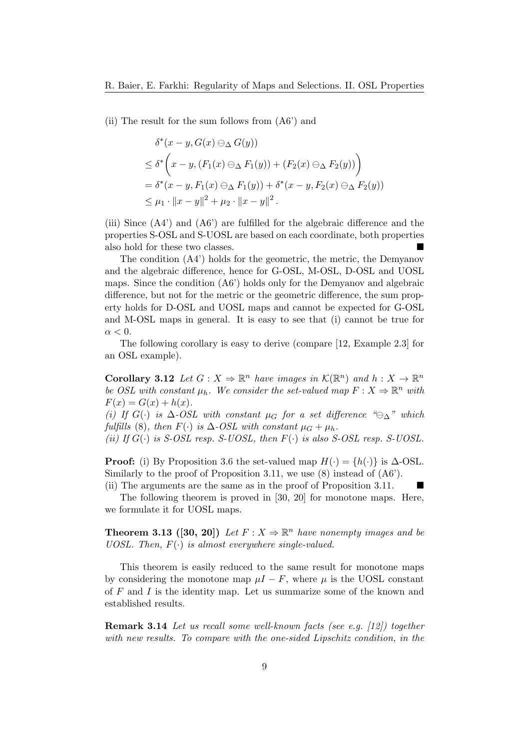(ii) The result for the sum follows from (A6') and

$$
\delta^*(x - y, G(x) \ominus_{\Delta} G(y))
$$
\n
$$
\leq \delta^*\left(x - y, (F_1(x) \ominus_{\Delta} F_1(y)) + (F_2(x) \ominus_{\Delta} F_2(y))\right)
$$
\n
$$
= \delta^*(x - y, F_1(x) \ominus_{\Delta} F_1(y)) + \delta^*(x - y, F_2(x) \ominus_{\Delta} F_2(y))
$$
\n
$$
\leq \mu_1 \cdot ||x - y||^2 + \mu_2 \cdot ||x - y||^2.
$$

(iii) Since (A4') and (A6') are fulfilled for the algebraic difference and the properties S-OSL and S-UOSL are based on each coordinate, both properties also hold for these two classes.

The condition (A4') holds for the geometric, the metric, the Demyanov and the algebraic difference, hence for G-OSL, M-OSL, D-OSL and UOSL maps. Since the condition (A6') holds only for the Demyanov and algebraic difference, but not for the metric or the geometric difference, the sum property holds for D-OSL and UOSL maps and cannot be expected for G-OSL and M-OSL maps in general. It is easy to see that (i) cannot be true for  $\alpha < 0$ .

The following corollary is easy to derive (compare [12, Example 2.3] for an OSL example).

**Corollary 3.12** Let  $G: X \Rightarrow \mathbb{R}^n$  have images in  $\mathcal{K}(\mathbb{R}^n)$  and  $h: X \to \mathbb{R}^n$ be OSL with constant  $\mu_h$ . We consider the set-valued map  $F: X \Rightarrow \mathbb{R}^n$  with  $F(x) = G(x) + h(x)$ .

(i) If  $G(\cdot)$  is  $\Delta$ -OSL with constant  $\mu_G$  for a set difference " $\ominus_{\Delta}$ " which fulfills (8), then  $F(\cdot)$  is  $\Delta$ -OSL with constant  $\mu_G + \mu_h$ .

(ii) If  $G(\cdot)$  is S-OSL resp. S-UOSL, then  $F(\cdot)$  is also S-OSL resp. S-UOSL.

**Proof:** (i) By Proposition 3.6 the set-valued map  $H(\cdot) = \{h(\cdot)\}\$ is  $\Delta$ -OSL. Similarly to the proof of Proposition 3.11, we use (8) instead of  $(AG')$ .

(ii) The arguments are the same as in the proof of Proposition 3.11. The following theorem is proved in [30, 20] for monotone maps. Here, we formulate it for UOSL maps.

**Theorem 3.13** ([30, 20]) Let  $F: X \Rightarrow \mathbb{R}^n$  have nonempty images and be UOSL. Then,  $F(\cdot)$  is almost everywhere single-valued.

This theorem is easily reduced to the same result for monotone maps by considering the monotone map  $\mu I - F$ , where  $\mu$  is the UOSL constant of  $F$  and  $I$  is the identity map. Let us summarize some of the known and established results.

Remark 3.14 Let us recall some well-known facts (see e.g. [12]) together with new results. To compare with the one-sided Lipschitz condition, in the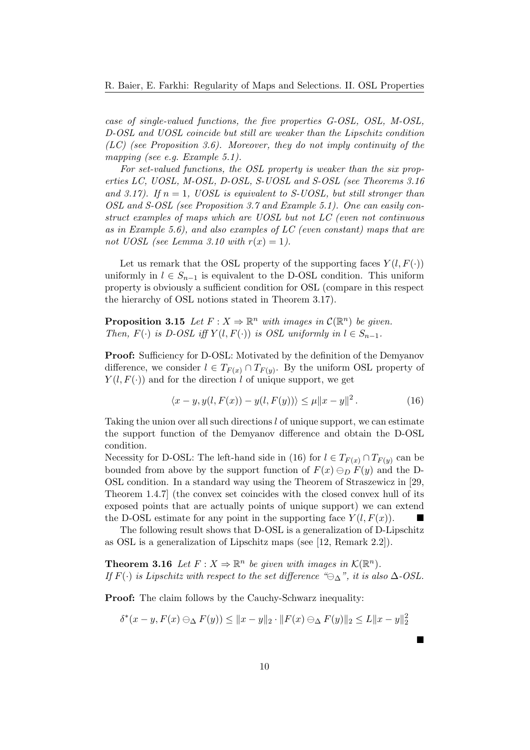case of single-valued functions, the five properties G-OSL, OSL, M-OSL, D-OSL and UOSL coincide but still are weaker than the Lipschitz condition  $(LC)$  (see Proposition 3.6). Moreover, they do not imply continuity of the mapping (see e.g. Example 5.1).

For set-valued functions, the OSL property is weaker than the six properties LC, UOSL, M-OSL, D-OSL, S-UOSL and S-OSL (see Theorems 3.16 and 3.17). If  $n = 1$ , UOSL is equivalent to S-UOSL, but still stronger than OSL and S-OSL (see Proposition 3.7 and Example 5.1). One can easily construct examples of maps which are UOSL but not LC (even not continuous as in Example 5.6), and also examples of LC (even constant) maps that are not UOSL (see Lemma 3.10 with  $r(x) = 1$ ).

Let us remark that the OSL property of the supporting faces  $Y(l, F(\cdot))$ uniformly in  $l \in S_{n-1}$  is equivalent to the D-OSL condition. This uniform property is obviously a sufficient condition for OSL (compare in this respect the hierarchy of OSL notions stated in Theorem 3.17).

**Proposition 3.15** Let  $F: X \Rightarrow \mathbb{R}^n$  with images in  $C(\mathbb{R}^n)$  be given. Then,  $F(\cdot)$  is D-OSL iff  $Y(l, F(\cdot))$  is OSL uniformly in  $l \in S_{n-1}$ .

Proof: Sufficiency for D-OSL: Motivated by the definition of the Demyanov difference, we consider  $l \in T_{F(x)} \cap T_{F(y)}$ . By the uniform OSL property of  $Y(l, F(\cdot))$  and for the direction l of unique support, we get

$$
\langle x - y, y(l, F(x)) - y(l, F(y)) \rangle \le \mu \|x - y\|^2.
$$
 (16)

Taking the union over all such directions l of unique support, we can estimate the support function of the Demyanov difference and obtain the D-OSL condition.

Necessity for D-OSL: The left-hand side in (16) for  $l \in T_{F(x)} \cap T_{F(y)}$  can be bounded from above by the support function of  $F(x) \ominus_D F(y)$  and the D-OSL condition. In a standard way using the Theorem of Straszewicz in [29, Theorem 1.4.7] (the convex set coincides with the closed convex hull of its exposed points that are actually points of unique support) we can extend the D-OSL estimate for any point in the supporting face  $Y(l, F(x))$ .

The following result shows that D-OSL is a generalization of D-Lipschitz as OSL is a generalization of Lipschitz maps (see [12, Remark 2.2]).

**Theorem 3.16** Let  $F: X \Rightarrow \mathbb{R}^n$  be given with images in  $\mathcal{K}(\mathbb{R}^n)$ . If  $F(\cdot)$  is Lipschitz with respect to the set difference " $\ominus_{\Delta}$ ", it is also  $\Delta$ -OSL.

Proof: The claim follows by the Cauchy-Schwarz inequality:

$$
\delta^*(x - y, F(x) \ominus_{\Delta} F(y)) \le ||x - y||_2 \cdot ||F(x) \ominus_{\Delta} F(y)||_2 \le L||x - y||_2^2
$$

 $\blacksquare$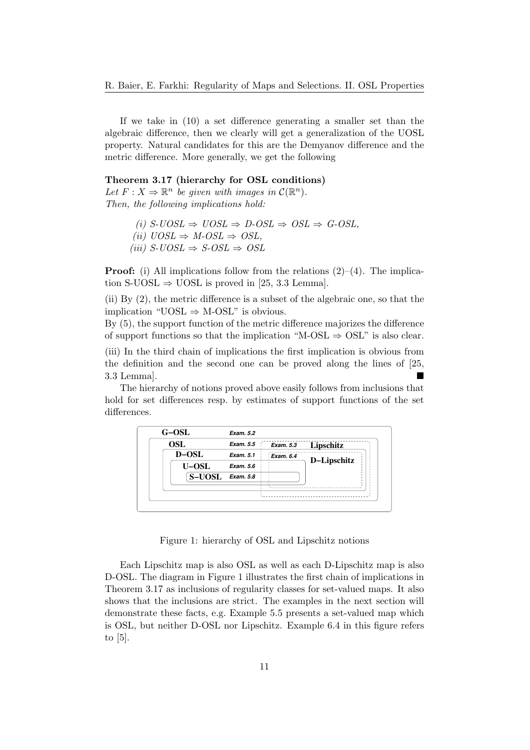If we take in (10) a set difference generating a smaller set than the algebraic difference, then we clearly will get a generalization of the UOSL property. Natural candidates for this are the Demyanov difference and the metric difference. More generally, we get the following

#### Theorem 3.17 (hierarchy for OSL conditions)

Let  $F: X \Rightarrow \mathbb{R}^n$  be given with images in  $\mathcal{C}(\mathbb{R}^n)$ . Then, the following implications hold:

- (i)  $S\text{-}UOSL \Rightarrow UOSL \Rightarrow D\text{-}OSL \Rightarrow OSL \Rightarrow G\text{-}OSL$ ,
- (ii)  $UOSL \Rightarrow M-OSL \Rightarrow OSL,$
- (iii)  $S\text{-}UOSL \Rightarrow S\text{-}OSL \Rightarrow OSL$

**Proof:** (i) All implications follow from the relations  $(2)$ – $(4)$ . The implication S-UOSL  $\Rightarrow$  UOSL is proved in [25, 3.3 Lemma].

(ii) By (2), the metric difference is a subset of the algebraic one, so that the implication "UOSL  $\Rightarrow$  M-OSL" is obvious.

By (5), the support function of the metric difference majorizes the difference of support functions so that the implication "M-OSL  $\Rightarrow$  OSL" is also clear.

(iii) In the third chain of implications the first implication is obvious from the definition and the second one can be proved along the lines of [25, 3.3 Lemma].

The hierarchy of notions proved above easily follows from inclusions that hold for set differences resp. by estimates of support functions of the set differences.

| <b>OSL</b>    | Exam. 5.5 | Exam. 5.3        | Lipschitz   |
|---------------|-----------|------------------|-------------|
| D-OSL         | Exam. 5.1 | <b>Exam. 6.4</b> | D-Lipschitz |
| U-OSL         | Exam. 5.6 |                  |             |
| <b>S-UOSL</b> | Exam. 5.8 |                  |             |
|               |           |                  |             |

Figure 1: hierarchy of OSL and Lipschitz notions

Each Lipschitz map is also OSL as well as each D-Lipschitz map is also D-OSL. The diagram in Figure 1 illustrates the first chain of implications in Theorem 3.17 as inclusions of regularity classes for set-valued maps. It also shows that the inclusions are strict. The examples in the next section will demonstrate these facts, e.g. Example 5.5 presents a set-valued map which is OSL, but neither D-OSL nor Lipschitz. Example 6.4 in this figure refers to [5].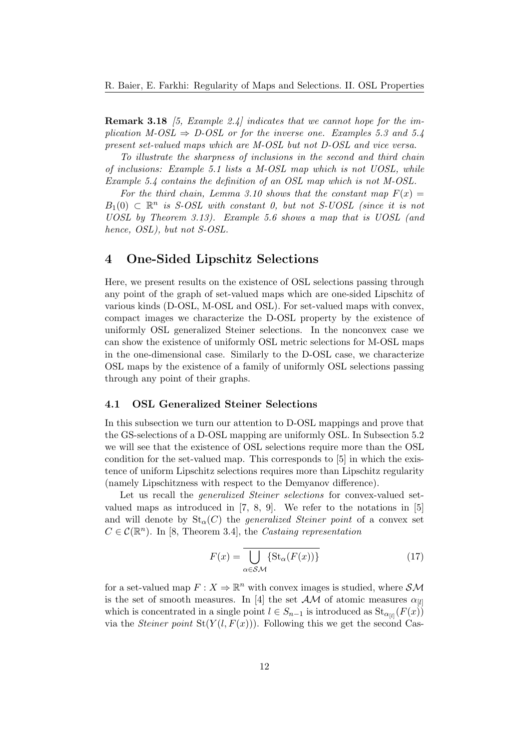**Remark 3.18** [5, Example 2.4] indicates that we cannot hope for the implication  $M\text{-}OSL \Rightarrow D\text{-}OSL$  or for the inverse one. Examples 5.3 and 5.4 present set-valued maps which are M-OSL but not D-OSL and vice versa.

To illustrate the sharpness of inclusions in the second and third chain of inclusions: Example 5.1 lists a M-OSL map which is not UOSL, while Example 5.4 contains the definition of an OSL map which is not M-OSL.

For the third chain, Lemma 3.10 shows that the constant map  $F(x) =$  $B_1(0) \subset \mathbb{R}^n$  is S-OSL with constant 0, but not S-UOSL (since it is not UOSL by Theorem 3.13). Example 5.6 shows a map that is UOSL (and hence, OSL), but not S-OSL.

## 4 One-Sided Lipschitz Selections

Here, we present results on the existence of OSL selections passing through any point of the graph of set-valued maps which are one-sided Lipschitz of various kinds (D-OSL, M-OSL and OSL). For set-valued maps with convex, compact images we characterize the D-OSL property by the existence of uniformly OSL generalized Steiner selections. In the nonconvex case we can show the existence of uniformly OSL metric selections for M-OSL maps in the one-dimensional case. Similarly to the D-OSL case, we characterize OSL maps by the existence of a family of uniformly OSL selections passing through any point of their graphs.

#### 4.1 OSL Generalized Steiner Selections

In this subsection we turn our attention to D-OSL mappings and prove that the GS-selections of a D-OSL mapping are uniformly OSL. In Subsection 5.2 we will see that the existence of OSL selections require more than the OSL condition for the set-valued map. This corresponds to [5] in which the existence of uniform Lipschitz selections requires more than Lipschitz regularity (namely Lipschitzness with respect to the Demyanov difference).

Let us recall the *generalized Steiner selections* for convex-valued setvalued maps as introduced in [7, 8, 9]. We refer to the notations in [5] and will denote by  $\text{St}_{\alpha}(C)$  the *generalized Steiner point* of a convex set  $C \in \mathcal{C}(\mathbb{R}^n)$ . In [8, Theorem 3.4], the Castaing representation

$$
F(x) = \overline{\bigcup_{\alpha \in \mathcal{SM}} \{ \text{St}_{\alpha}(F(x)) \} }
$$
(17)

for a set-valued map  $F: X \to \mathbb{R}^n$  with convex images is studied, where  $S\mathcal{M}$ is the set of smooth measures. In [4] the set  $AM$  of atomic measures  $\alpha_{[l]}$ which is concentrated in a single point  $l \in S_{n-1}$  is introduced as  $\text{St}_{\alpha_{[l]}}(F(x))$ via the *Steiner point*  $St(Y(l, F(x)))$ . Following this we get the second Cas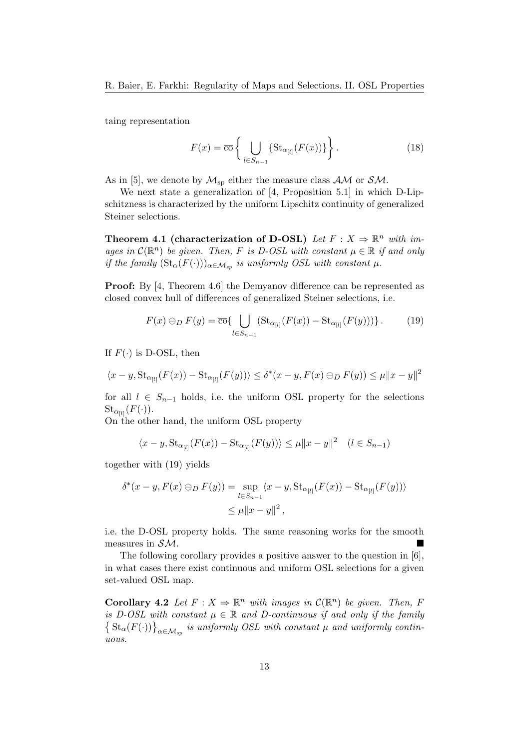taing representation

$$
F(x) = \overline{\mathrm{co}}\left\{\bigcup_{l \in S_{n-1}} \{\mathrm{St}_{\alpha_{[l]}}(F(x))\}\right\}.
$$
 (18)

As in [5], we denote by  $\mathcal{M}_{\text{sp}}$  either the measure class  $\mathcal{AM}$  or  $\mathcal{SM}$ .

We next state a generalization of [4, Proposition 5.1] in which D-Lipschitzness is characterized by the uniform Lipschitz continuity of generalized Steiner selections.

Theorem 4.1 (characterization of D-OSL) Let  $F: X \Rightarrow \mathbb{R}^n$  with images in  $\mathcal{C}(\mathbb{R}^n)$  be given. Then, F is D-OSL with constant  $\mu \in \mathbb{R}$  if and only if the family  $(\text{St}_{\alpha}(F(\cdot)))_{\alpha \in \mathcal{M}_{sp}}$  is uniformly OSL with constant  $\mu$ .

Proof: By [4, Theorem 4.6] the Demyanov difference can be represented as closed convex hull of differences of generalized Steiner selections, i.e.

$$
F(x) \ominus_D F(y) = \overline{\mathrm{co}}\left\{\bigcup_{l \in S_{n-1}} (\mathrm{St}_{\alpha_{[l]}}(F(x)) - \mathrm{St}_{\alpha_{[l]}}(F(y)))\right\}.
$$
 (19)

If  $F(\cdot)$  is D-OSL, then

$$
\langle x - y, St_{\alpha_{[l]}}(F(x)) - St_{\alpha_{[l]}}(F(y)) \rangle \le \delta^*(x - y, F(x) \ominus_D F(y)) \le \mu \|x - y\|^2
$$

for all  $l \in S_{n-1}$  holds, i.e. the uniform OSL property for the selections  ${\rm St}_{\alpha_{[l]}}(F(\cdot)).$ 

On the other hand, the uniform OSL property

$$
\langle x - y, St_{\alpha_{[l]}}(F(x)) - St_{\alpha_{[l]}}(F(y)) \rangle \le \mu \|x - y\|^2 \quad (l \in S_{n-1})
$$

together with (19) yields

$$
\delta^*(x - y, F(x) \ominus_D F(y)) = \sup_{l \in S_{n-1}} \langle x - y, \text{St}_{\alpha_{[l]}}(F(x)) - \text{St}_{\alpha_{[l]}}(F(y)) \rangle
$$
  

$$
\leq \mu \|x - y\|^2,
$$

i.e. the D-OSL property holds. The same reasoning works for the smooth measures in SM.

The following corollary provides a positive answer to the question in [6], in what cases there exist continuous and uniform OSL selections for a given set-valued OSL map.

**Corollary 4.2** Let  $F: X \Rightarrow \mathbb{R}^n$  with images in  $\mathcal{C}(\mathbb{R}^n)$  be given. Then, F is D-OSL with constant  $\mu \in \mathbb{R}$  and D-continuous if and only if the family  $\left\{ \text{St}_{\alpha}(F(\cdot)) \right\}_{\alpha \in \mathcal{M}_{sp}}$  is uniformly OSL with constant  $\mu$  and uniformly continuous.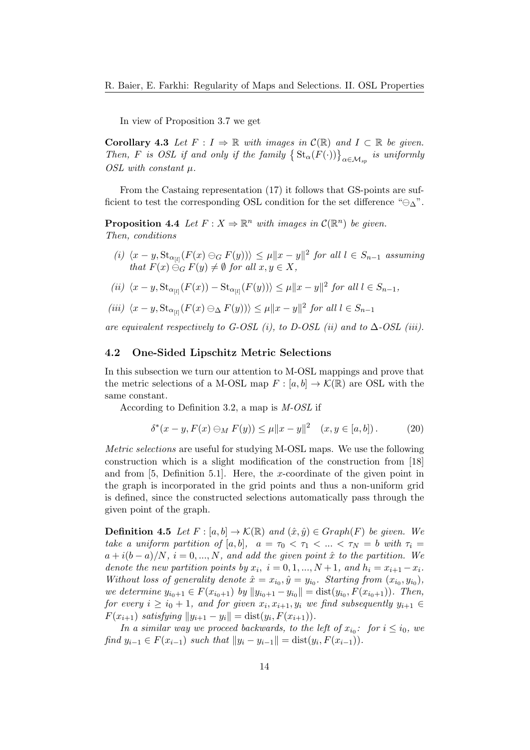In view of Proposition 3.7 we get

**Corollary 4.3** Let  $F: I \Rightarrow \mathbb{R}$  with images in  $\mathcal{C}(\mathbb{R})$  and  $I \subset \mathbb{R}$  be given. Then, F is OSL if and only if the family  $\left\{ \text{St}_{\alpha}(F(\cdot)) \right\}_{\alpha \in \mathcal{M}_{sp}}$  is uniformly OSL with constant  $\mu$ .

From the Castaing representation (17) it follows that GS-points are sufficient to test the corresponding OSL condition for the set difference " $\ominus_{\Delta}$ ".

**Proposition 4.4** Let  $F: X \Rightarrow \mathbb{R}^n$  with images in  $\mathcal{C}(\mathbb{R}^n)$  be given. Then, conditions

- (i)  $\langle x-y, St_{\alpha_{[l]}}(F(x) \ominus_G F(y)) \rangle \leq \mu \|x-y\|^2$  for all  $l \in S_{n-1}$  assuming that  $F(x) \ominus_G F(y) \neq \emptyset$  for all  $x, y \in X$ ,
- (ii)  $\langle x-y, \text{St}_{\alpha_{[l]}}(F(x)) \text{St}_{\alpha_{[l]}}(F(y)) \rangle \leq \mu \|x-y\|^2$  for all  $l \in S_{n-1}$ ,

$$
(iii) \ \langle x - y, \mathrm{St}_{\alpha_{[l]}}(F(x) \ominus_{\Delta} F(y)) \rangle \le \mu \|x - y\|^2 \text{ for all } l \in S_{n-1}
$$

are equivalent respectively to G-OSL (i), to D-OSL (ii) and to  $\Delta$ -OSL (iii).

#### 4.2 One-Sided Lipschitz Metric Selections

In this subsection we turn our attention to M-OSL mappings and prove that the metric selections of a M-OSL map  $F : [a, b] \to \mathcal{K}(\mathbb{R})$  are OSL with the same constant.

According to Definition 3.2, a map is M-OSL if

$$
\delta^*(x - y, F(x) \ominus_M F(y)) \le \mu \|x - y\|^2 \quad (x, y \in [a, b]). \tag{20}
$$

Metric selections are useful for studying M-OSL maps. We use the following construction which is a slight modification of the construction from [18] and from [5, Definition 5.1]. Here, the x-coordinate of the given point in the graph is incorporated in the grid points and thus a non-uniform grid is defined, since the constructed selections automatically pass through the given point of the graph.

**Definition 4.5** Let  $F : [a, b] \to \mathcal{K}(\mathbb{R})$  and  $(\hat{x}, \hat{y}) \in Graph(F)$  be given. We take a uniform partition of [a, b],  $a = \tau_0 < \tau_1 < ... < \tau_N = b$  with  $\tau_i =$  $a + i(b - a)/N$ ,  $i = 0, ..., N$ , and add the given point  $\hat{x}$  to the partition. We denote the new partition points by  $x_i$ ,  $i = 0, 1, ..., N+1$ , and  $h_i = x_{i+1} - x_i$ . Without loss of generality denote  $\hat{x} = x_{i_0}, \hat{y} = y_{i_0}$ . Starting from  $(x_{i_0}, y_{i_0})$ , we determine  $y_{i_0+1} \in F(x_{i_0+1})$  by  $||y_{i_0+1} - y_{i_0}|| = \text{dist}(y_{i_0}, F(x_{i_0+1}))$ . Then, for every  $i \geq i_0 + 1$ , and for given  $x_i, x_{i+1}, y_i$  we find subsequently  $y_{i+1} \in$  $F(x_{i+1})$  satisfying  $||y_{i+1} - y_i|| = \text{dist}(y_i, F(x_{i+1})).$ 

In a similar way we proceed backwards, to the left of  $x_{i_0}$ : for  $i \leq i_0$ , we find  $y_{i-1} \in F(x_{i-1})$  such that  $||y_i - y_{i-1}|| = \text{dist}(y_i, F(x_{i-1})).$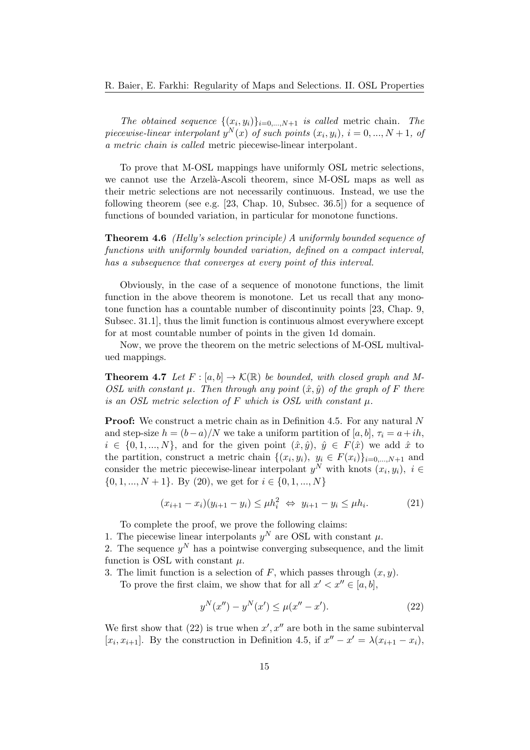The obtained sequence  $\{(x_i, y_i)\}_{i=0,\dots,N+1}$  is called metric chain. The piecewise-linear interpolant  $y^N(x)$  of such points  $(x_i, y_i)$ ,  $i = 0, ..., N + 1$ , of a metric chain is called metric piecewise-linear interpolant.

To prove that M-OSL mappings have uniformly OSL metric selections, we cannot use the Arzelà-Ascoli theorem, since M-OSL maps as well as their metric selections are not necessarily continuous. Instead, we use the following theorem (see e.g. [23, Chap. 10, Subsec. 36.5]) for a sequence of functions of bounded variation, in particular for monotone functions.

Theorem 4.6 (Helly's selection principle) A uniformly bounded sequence of functions with uniformly bounded variation, defined on a compact interval, has a subsequence that converges at every point of this interval.

Obviously, in the case of a sequence of monotone functions, the limit function in the above theorem is monotone. Let us recall that any monotone function has a countable number of discontinuity points [23, Chap. 9, Subsec. 31.1], thus the limit function is continuous almost everywhere except for at most countable number of points in the given 1d domain.

Now, we prove the theorem on the metric selections of M-OSL multivalued mappings.

**Theorem 4.7** Let  $F : [a, b] \to \mathcal{K}(\mathbb{R})$  be bounded, with closed graph and M-OSL with constant  $\mu$ . Then through any point  $(\hat{x}, \hat{y})$  of the graph of F there is an OSL metric selection of F which is OSL with constant  $\mu$ .

**Proof:** We construct a metric chain as in Definition 4.5. For any natural N and step-size  $h = (b-a)/N$  we take a uniform partition of [a, b],  $\tau_i = a+ih$ ,  $i \in \{0, 1, ..., N\}$ , and for the given point  $(\hat{x}, \hat{y})$ ,  $\hat{y} \in F(\hat{x})$  we add  $\hat{x}$  to the partition, construct a metric chain  $\{(x_i, y_i), y_i \in F(x_i)\}_{i=0,\dots,N+1}$  and consider the metric piecewise-linear interpolant  $y^N$  with knots  $(x_i, y_i)$ ,  $i \in$  $\{0, 1, ..., N + 1\}$ . By (20), we get for  $i \in \{0, 1, ..., N\}$ 

$$
(x_{i+1} - x_i)(y_{i+1} - y_i) \le \mu h_i^2 \iff y_{i+1} - y_i \le \mu h_i. \tag{21}
$$

To complete the proof, we prove the following claims:

1. The piecewise linear interpolants  $y^N$  are OSL with constant  $\mu$ .

2. The sequence  $y^N$  has a pointwise converging subsequence, and the limit function is OSL with constant  $\mu$ .

3. The limit function is a selection of F, which passes through  $(x, y)$ .

To prove the first claim, we show that for all  $x' < x'' \in [a, b]$ ,

$$
y^{N}(x'') - y^{N}(x') \le \mu(x'' - x'). \tag{22}
$$

We first show that  $(22)$  is true when  $x', x''$  are both in the same subinterval [ $x_i, x_{i+1}$ ]. By the construction in Definition 4.5, if  $x'' - x' = \lambda (x_{i+1} - x_i)$ ,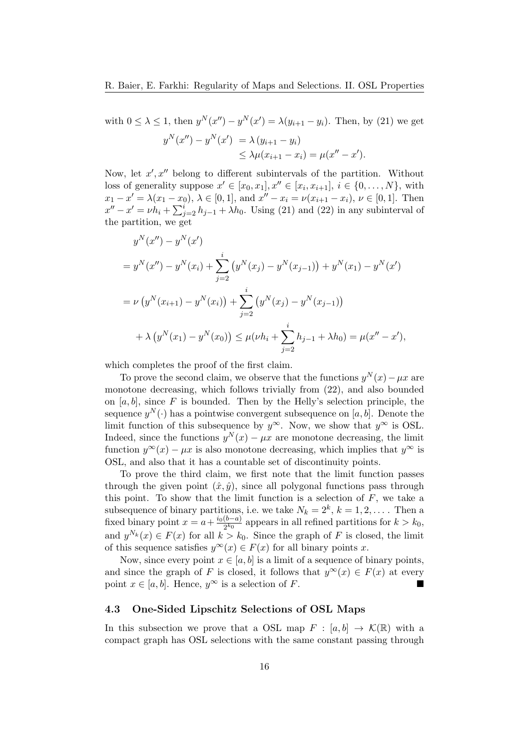with  $0 \le \lambda \le 1$ , then  $y^{N}(x'') - y^{N}(x') = \lambda(y_{i+1} - y_i)$ . Then, by (21) we get  $y^N(x'') - y^N(x') = \lambda (y_{i+1} - y_i)$  $\leq \lambda \mu (x_{i+1} - x_i) = \mu (x'' - x').$ 

Now, let  $x', x''$  belong to different subintervals of the partition. Without loss of generality suppose  $x' \in [x_0, x_1], x'' \in [x_i, x_{i+1}], i \in \{0, \ldots, N\}$ , with  $x_1 - x' = \lambda(x_1 - x_0), \, \lambda \in [0, 1], \text{ and } x'' - x_i = \nu(x_{i+1} - x_i), \, \nu \in [0, 1].$  Then  $x'' - x' = \nu h_i + \sum_{j=2}^{i} h_{j-1} + \lambda h_0$ . Using (21) and (22) in any subinterval of the partition, we get

$$
y^{N}(x'') - y^{N}(x')
$$
  
=  $y^{N}(x'') - y^{N}(x_{i}) + \sum_{j=2}^{i} (y^{N}(x_{j}) - y^{N}(x_{j-1})) + y^{N}(x_{1}) - y^{N}(x')$   
=  $\nu (y^{N}(x_{i+1}) - y^{N}(x_{i})) + \sum_{j=2}^{i} (y^{N}(x_{j}) - y^{N}(x_{j-1}))$   
 $+ \lambda (y^{N}(x_{1}) - y^{N}(x_{0})) \le \mu(\nu h_{i} + \sum_{j=2}^{i} h_{j-1} + \lambda h_{0}) = \mu(x'' - x'),$ 

which completes the proof of the first claim.

To prove the second claim, we observe that the functions  $y^N(x) - \mu x$  are monotone decreasing, which follows trivially from (22), and also bounded on  $[a, b]$ , since F is bounded. Then by the Helly's selection principle, the sequence  $y^N(\cdot)$  has a pointwise convergent subsequence on [a, b]. Denote the limit function of this subsequence by  $y^{\infty}$ . Now, we show that  $y^{\infty}$  is OSL. Indeed, since the functions  $y^N(x) - \mu x$  are monotone decreasing, the limit function  $y^{\infty}(x) - \mu x$  is also monotone decreasing, which implies that  $y^{\infty}$  is OSL, and also that it has a countable set of discontinuity points.

To prove the third claim, we first note that the limit function passes through the given point  $(\hat{x}, \hat{y})$ , since all polygonal functions pass through this point. To show that the limit function is a selection of  $F$ , we take a subsequence of binary partitions, i.e. we take  $N_k = 2^k$ ,  $k = 1, 2, \ldots$ . Then a fixed binary point  $x = a + \frac{i_0(b-a)}{2k_0}$  $\frac{(b-a)}{2^{k_0}}$  appears in all refined partitions for  $k > k_0$ , and  $y^{N_k}(x) \in F(x)$  for all  $k > k_0$ . Since the graph of F is closed, the limit of this sequence satisfies  $y^{\infty}(x) \in F(x)$  for all binary points x.

Now, since every point  $x \in [a, b]$  is a limit of a sequence of binary points, and since the graph of F is closed, it follows that  $y^{\infty}(x) \in F(x)$  at every point  $x \in [a, b]$ . Hence,  $y^{\infty}$  is a selection of F.

#### 4.3 One-Sided Lipschitz Selections of OSL Maps

In this subsection we prove that a OSL map  $F : [a, b] \to \mathcal{K}(\mathbb{R})$  with a compact graph has OSL selections with the same constant passing through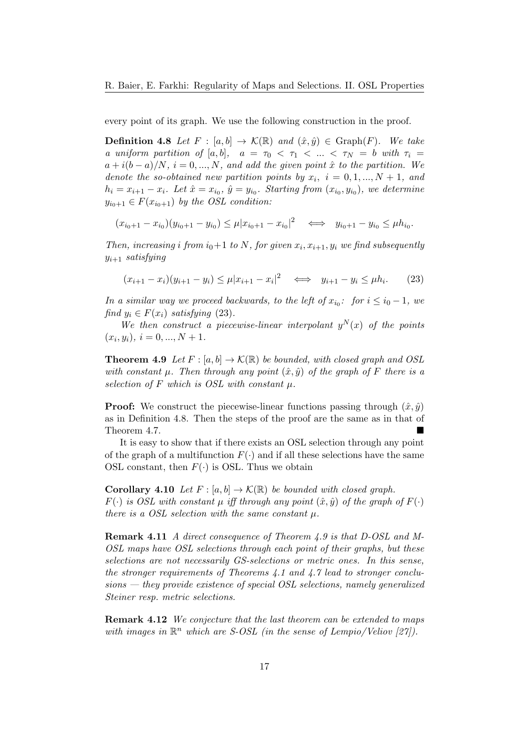every point of its graph. We use the following construction in the proof.

**Definition 4.8** Let  $F : [a, b] \to \mathcal{K}(\mathbb{R})$  and  $(\hat{x}, \hat{y}) \in \text{Graph}(F)$ . We take a uniform partition of [a, b],  $a = \tau_0 < \tau_1 < ... < \tau_N = b$  with  $\tau_i =$  $a + i(b - a)/N$ ,  $i = 0, ..., N$ , and add the given point  $\hat{x}$  to the partition. We denote the so-obtained new partition points by  $x_i$ ,  $i = 0, 1, ..., N + 1$ , and  $h_i = x_{i+1} - x_i$ . Let  $\hat{x} = x_{i_0}, \hat{y} = y_{i_0}$ . Starting from  $(x_{i_0}, y_{i_0})$ , we determine  $y_{i_0+1} \in F(x_{i_0+1})$  by the OSL condition:

$$
(x_{i_0+1}-x_{i_0})(y_{i_0+1}-y_{i_0})\leq \mu |x_{i_0+1}-x_{i_0}|^2 \iff y_{i_0+1}-y_{i_0}\leq \mu h_{i_0}.
$$

Then, increasing i from  $i_0+1$  to N, for given  $x_i, x_{i+1}, y_i$  we find subsequently  $y_{i+1}$  satisfying

$$
(x_{i+1} - x_i)(y_{i+1} - y_i) \le \mu |x_{i+1} - x_i|^2 \iff y_{i+1} - y_i \le \mu h_i. \tag{23}
$$

In a similar way we proceed backwards, to the left of  $x_{i_0}$ : for  $i \leq i_0 - 1$ , we find  $y_i \in F(x_i)$  satisfying (23).

We then construct a piecewise-linear interpolant  $y^N(x)$  of the points  $(x_i, y_i), i = 0, ..., N + 1.$ 

**Theorem 4.9** Let  $F : [a, b] \to \mathcal{K}(\mathbb{R})$  be bounded, with closed graph and OSL with constant  $\mu$ . Then through any point  $(\hat{x}, \hat{y})$  of the graph of F there is a selection of F which is OSL with constant  $\mu$ .

**Proof:** We construct the piecewise-linear functions passing through  $(\hat{x}, \hat{y})$ as in Definition 4.8. Then the steps of the proof are the same as in that of Theorem 4.7.

It is easy to show that if there exists an OSL selection through any point of the graph of a multifunction  $F(\cdot)$  and if all these selections have the same OSL constant, then  $F(\cdot)$  is OSL. Thus we obtain

**Corollary 4.10** Let  $F : [a, b] \to \mathcal{K}(\mathbb{R})$  be bounded with closed graph.  $F(\cdot)$  is OSL with constant  $\mu$  iff through any point  $(\hat{x}, \hat{y})$  of the graph of  $F(\cdot)$ there is a OSL selection with the same constant  $\mu$ .

Remark 4.11 A direct consequence of Theorem 4.9 is that D-OSL and M-OSL maps have OSL selections through each point of their graphs, but these selections are not necessarily GS-selections or metric ones. In this sense, the stronger requirements of Theorems 4.1 and 4.7 lead to stronger conclusions — they provide existence of special OSL selections, namely generalized Steiner resp. metric selections.

Remark 4.12 We conjecture that the last theorem can be extended to maps with images in  $\mathbb{R}^n$  which are S-OSL (in the sense of Lempio/Veliov [27]).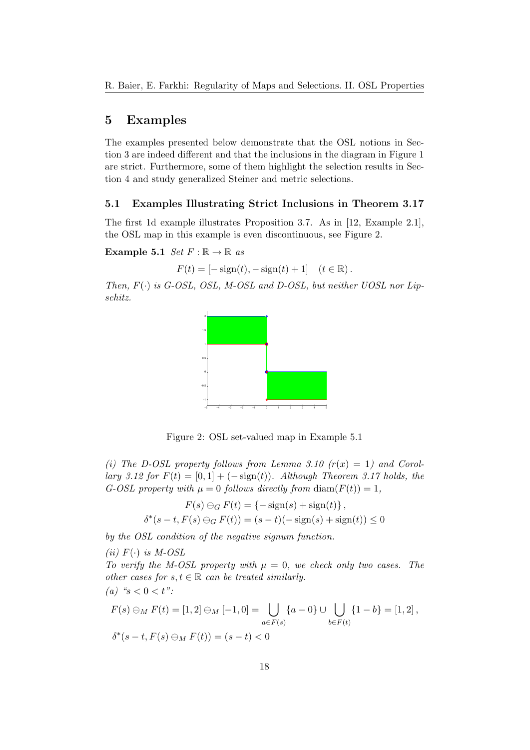## 5 Examples

The examples presented below demonstrate that the OSL notions in Section 3 are indeed different and that the inclusions in the diagram in Figure 1 are strict. Furthermore, some of them highlight the selection results in Section 4 and study generalized Steiner and metric selections.

#### 5.1 Examples Illustrating Strict Inclusions in Theorem 3.17

The first 1d example illustrates Proposition 3.7. As in [12, Example 2.1], the OSL map in this example is even discontinuous, see Figure 2.

Example 5.1  $Set F : \mathbb{R} \to \mathbb{R}$  as

$$
F(t) = [-\text{sign}(t), -\text{sign}(t) + 1]
$$
  $(t \in \mathbb{R}).$ 

Then,  $F(\cdot)$  is G-OSL, OSL, M-OSL and D-OSL, but neither UOSL nor Lipschitz.



Figure 2: OSL set-valued map in Example 5.1

(i) The D-OSL property follows from Lemma 3.10  $(r(x) = 1)$  and Corollary 3.12 for  $F(t) = [0, 1] + (-\text{sign}(t))$ . Although Theorem 3.17 holds, the G-OSL property with  $\mu = 0$  follows directly from  $\text{diam}(F(t)) = 1$ ,

$$
F(s) \ominus_G F(t) = \{-\operatorname{sign}(s) + \operatorname{sign}(t)\},\
$$

$$
\delta^*(s - t, F(s) \ominus_G F(t)) = (s - t)(-\operatorname{sign}(s) + \operatorname{sign}(t)) \le 0
$$

by the OSL condition of the negative signum function.

(ii)  $F(\cdot)$  is M-OSL To verify the M-OSL property with  $\mu = 0$ , we check only two cases. The other cases for  $s, t \in \mathbb{R}$  can be treated similarly. (a) " $s < 0 < t$ ":  $F(s) \ominus_M F(t) = [1,2] \ominus_M [-1,0] =$  $a \in F(s)$  $\{a-0\} \cup \ \mid \ \right)$  $b \in F(t)$  ${1-b} = [1,2],$  $\delta^*(s-t, F(s) \ominus_M F(t)) = (s-t) < 0$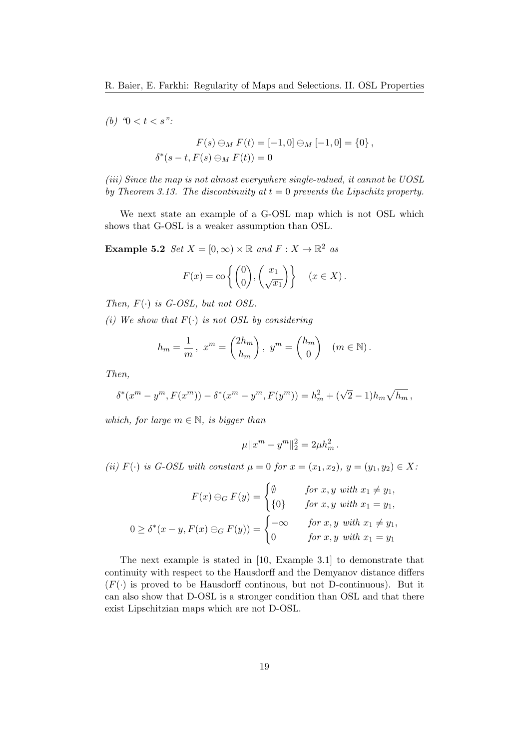(b)  $\mathcal{C} < t < s$ ":

$$
F(s) \ominus_M F(t) = [-1,0] \ominus_M [-1,0] = \{0\},
$$
  

$$
\delta^*(s-t, F(s) \ominus_M F(t)) = 0
$$

(iii) Since the map is not almost everywhere single-valued, it cannot be UOSL by Theorem 3.13. The discontinuity at  $t = 0$  prevents the Lipschitz property.

We next state an example of a G-OSL map which is not OSL which shows that G-OSL is a weaker assumption than OSL.

**Example 5.2** Set  $X = [0, \infty) \times \mathbb{R}$  and  $F: X \to \mathbb{R}^2$  as

$$
F(x) = \text{co}\left\{ \begin{pmatrix} 0 \\ 0 \end{pmatrix}, \begin{pmatrix} x_1 \\ \sqrt{x_1} \end{pmatrix} \right\} \quad (x \in X).
$$

Then,  $F(\cdot)$  is G-OSL, but not OSL.

(i) We show that  $F(\cdot)$  is not OSL by considering

$$
h_m = \frac{1}{m}, \ x^m = \begin{pmatrix} 2h_m \\ h_m \end{pmatrix}, \ y^m = \begin{pmatrix} h_m \\ 0 \end{pmatrix} \quad (m \in \mathbb{N}).
$$

Then,

$$
\delta^*(x^m - y^m, F(x^m)) - \delta^*(x^m - y^m, F(y^m)) = h_m^2 + (\sqrt{2} - 1)h_m\sqrt{h_m},
$$

which, for large  $m \in \mathbb{N}$ , is bigger than

$$
\mu \|x^m - y^m\|_2^2 = 2\mu h_m^2.
$$

(ii)  $F(\cdot)$  is G-OSL with constant  $\mu = 0$  for  $x = (x_1, x_2), y = (y_1, y_2) \in X$ :

$$
F(x) \ominus_G F(y) = \begin{cases} \emptyset & \text{for } x, y \text{ with } x_1 \neq y_1, \\ \{0\} & \text{for } x, y \text{ with } x_1 = y_1, \\ \text{for } x, y \text{ with } x_1 = y_1, \end{cases}
$$

$$
0 \ge \delta^*(x - y, F(x) \ominus_G F(y)) = \begin{cases} -\infty & \text{for } x, y \text{ with } x_1 \neq y_1, \\ 0 & \text{for } x, y \text{ with } x_1 = y_1 \end{cases}
$$

The next example is stated in [10, Example 3.1] to demonstrate that continuity with respect to the Hausdorff and the Demyanov distance differs  $(F(\cdot))$  is proved to be Hausdorff continuous, but not D-continuous). But it can also show that D-OSL is a stronger condition than OSL and that there exist Lipschitzian maps which are not D-OSL.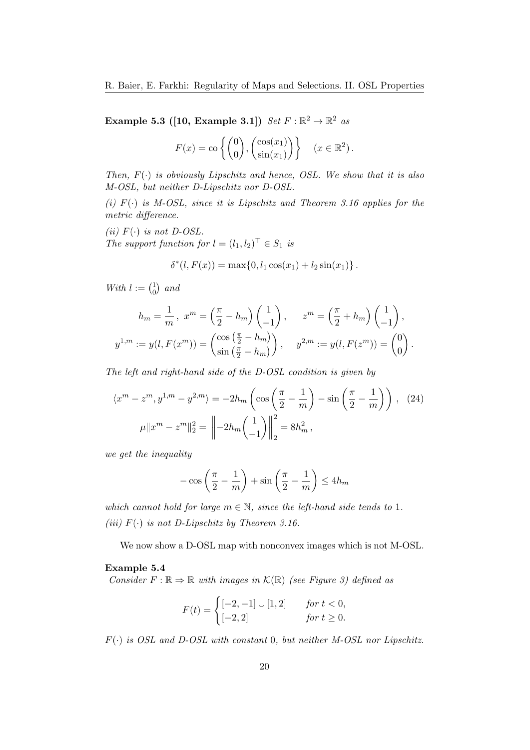Example 5.3 ([10, Example 3.1])  $Set F : \mathbb{R}^2 \to \mathbb{R}^2$  as

$$
F(x) = \text{co}\left\{ \begin{pmatrix} 0 \\ 0 \end{pmatrix}, \begin{pmatrix} \cos(x_1) \\ \sin(x_1) \end{pmatrix} \right\} \quad (x \in \mathbb{R}^2).
$$

Then,  $F(\cdot)$  is obviously Lipschitz and hence, OSL. We show that it is also M-OSL, but neither D-Lipschitz nor D-OSL.

(i)  $F(\cdot)$  is M-OSL, since it is Lipschitz and Theorem 3.16 applies for the metric difference.

(ii)  $F(\cdot)$  is not D-OSL. The support function for  $l = (l_1, l_2)^\top \in S_1$  is

$$
\delta^*(l, F(x)) = \max\{0, l_1 \cos(x_1) + l_2 \sin(x_1)\}.
$$

With  $l := \begin{pmatrix} 1 \\ 0 \end{pmatrix}$  $_{0}^{1})$  and

$$
h_m = \frac{1}{m}, \ x^m = \left(\frac{\pi}{2} - h_m\right) \begin{pmatrix} 1 \\ -1 \end{pmatrix}, \quad z^m = \left(\frac{\pi}{2} + h_m\right) \begin{pmatrix} 1 \\ -1 \end{pmatrix},
$$
  

$$
y^{1,m} := y(l, F(x^m)) = \begin{pmatrix} \cos\left(\frac{\pi}{2} - h_m\right) \\ \sin\left(\frac{\pi}{2} - h_m\right) \end{pmatrix}, \quad y^{2,m} := y(l, F(z^m)) = \begin{pmatrix} 0 \\ 0 \end{pmatrix}.
$$

The left and right-hand side of the D-OSL condition is given by

$$
\langle x^m - z^m, y^{1,m} - y^{2,m} \rangle = -2h_m \left( \cos \left( \frac{\pi}{2} - \frac{1}{m} \right) - \sin \left( \frac{\pi}{2} - \frac{1}{m} \right) \right), \quad (24)
$$

$$
\mu \| x^m - z^m \|_2^2 = \left\| -2h_m \left( \frac{1}{-1} \right) \right\|_2^2 = 8h_m^2,
$$

we get the inequality

$$
-\cos\left(\frac{\pi}{2} - \frac{1}{m}\right) + \sin\left(\frac{\pi}{2} - \frac{1}{m}\right) \le 4h_m
$$

which cannot hold for large  $m \in \mathbb{N}$ , since the left-hand side tends to 1. (iii)  $F(\cdot)$  is not D-Lipschitz by Theorem 3.16.

We now show a D-OSL map with nonconvex images which is not M-OSL.

#### Example 5.4

Consider  $F : \mathbb{R} \to \mathbb{R}$  with images in  $\mathcal{K}(\mathbb{R})$  (see Figure 3) defined as

$$
F(t) = \begin{cases} [-2, -1] \cup [1, 2] & \text{for } t < 0, \\ [-2, 2] & \text{for } t \ge 0. \end{cases}
$$

 $F(\cdot)$  is OSL and D-OSL with constant 0, but neither M-OSL nor Lipschitz.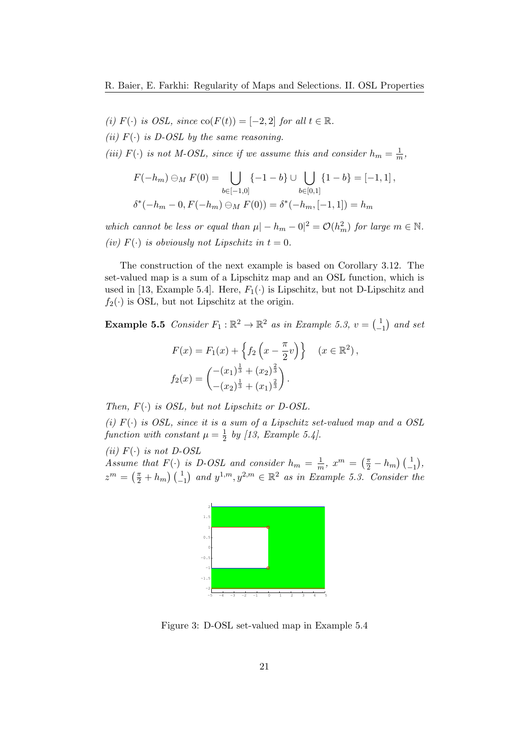- (i)  $F(\cdot)$  is OSL, since  $\text{co}(F(t)) = [-2, 2]$  for all  $t \in \mathbb{R}$ .
- (ii)  $F(\cdot)$  is D-OSL by the same reasoning.

(iii)  $F(\cdot)$  is not M-OSL, since if we assume this and consider  $h_m = \frac{1}{m}$  $\frac{1}{m}$ 

$$
F(-h_m) \ominus_M F(0) = \bigcup_{b \in [-1,0]} \{-1-b\} \cup \bigcup_{b \in [0,1]} \{1-b\} = [-1,1],
$$
  

$$
\delta^*(-h_m - 0, F(-h_m) \ominus_M F(0)) = \delta^*(-h_m, [-1,1]) = h_m
$$

which cannot be less or equal than  $\mu |- h_m - 0|^2 = \mathcal{O}(h_m^2)$  for large  $m \in \mathbb{N}$ . (iv)  $F(\cdot)$  is obviously not Lipschitz in  $t = 0$ .

The construction of the next example is based on Corollary 3.12. The set-valued map is a sum of a Lipschitz map and an OSL function, which is used in [13, Example 5.4]. Here,  $F_1(\cdot)$  is Lipschitz, but not D-Lipschitz and  $f_2(\cdot)$  is OSL, but not Lipschitz at the origin.

**Example 5.5** Consider  $F_1 : \mathbb{R}^2 \to \mathbb{R}^2$  as in Example 5.3,  $v = \begin{pmatrix} 1 \\ -1 \end{pmatrix}$  $\begin{pmatrix} 1 \\ -1 \end{pmatrix}$  and set

$$
F(x) = F_1(x) + \left\{ f_2\left(x - \frac{\pi}{2}v\right) \right\} \quad (x \in \mathbb{R}^2),
$$
  

$$
f_2(x) = \begin{pmatrix} -(x_1)^{\frac{1}{3}} + (x_2)^{\frac{2}{3}} \\ -(x_2)^{\frac{1}{3}} + (x_1)^{\frac{2}{3}} \end{pmatrix}.
$$

Then,  $F(\cdot)$  is OSL, but not Lipschitz or D-OSL.

(i)  $F(\cdot)$  is OSL, since it is a sum of a Lipschitz set-valued map and a OSL function with constant  $\mu = \frac{1}{2}$  $\frac{1}{2}$  by [13, Example 5.4].

(ii)  $F(\cdot)$  is not D-OSL Assume that  $F(\cdot)$  is D-OSL and consider  $h_m = \frac{1}{m}$  $\frac{1}{m}$ ,  $x^m = \left(\frac{\pi}{2} - h_m\right) \left(\frac{1}{-1}\right)$ ,  $z^m = \left(\frac{\pi}{2} + h_m\right) \left(\frac{1}{-1}\right)$  and  $y^{1,m}, y^{2,m} \in \mathbb{R}^2$  as in Example 5.3. Consider the



Figure 3: D-OSL set-valued map in Example 5.4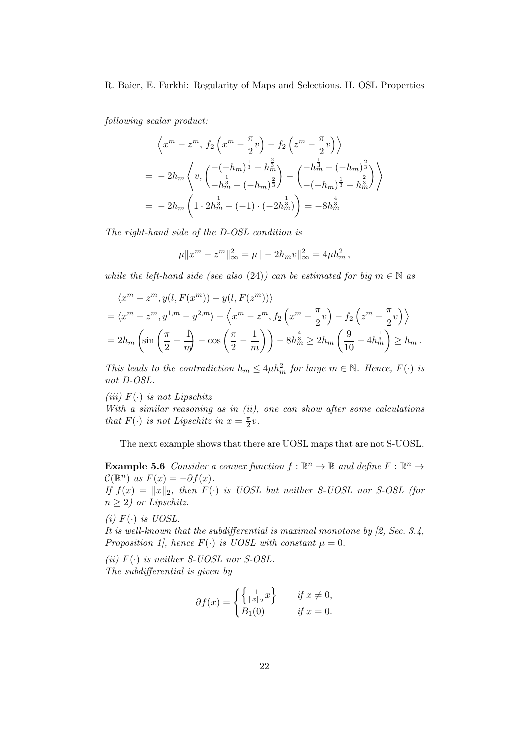following scalar product:

$$
\left\langle x^m - z^m, f_2\left(x^m - \frac{\pi}{2}v\right) - f_2\left(z^m - \frac{\pi}{2}v\right) \right\rangle
$$
  
=  $-2h_m \left\langle v, \left( \frac{-(-h_m)^{\frac{1}{3}} + h_m^{\frac{2}{3}}}{-h_m^{\frac{1}{3}} + (-h_m)^{\frac{2}{3}}} \right) - \left( \frac{-h_m^{\frac{1}{3}} + (-h_m)^{\frac{2}{3}}}{-(-h_m)^{\frac{1}{3}} + h_m^{\frac{2}{3}}} \right) \right\rangle$   
=  $-2h_m \left( 1 \cdot 2h_m^{\frac{1}{3}} + (-1) \cdot (-2h_m^{\frac{1}{3}}) \right) = -8h_m^{\frac{4}{3}}$ 

The right-hand side of the D-OSL condition is

$$
\mu \|x^m - z^m\|_{\infty}^2 = \mu \| - 2h_m v\|_{\infty}^2 = 4\mu h_m^2,
$$

while the left-hand side (see also (24)) can be estimated for big  $m \in \mathbb{N}$  as

$$
\langle x^m - z^m, y(l, F(x^m)) - y(l, F(z^m)) \rangle
$$
  
=  $\langle x^m - z^m, y^{1,m} - y^{2,m} \rangle + \langle x^m - z^m, f_2 \left( x^m - \frac{\pi}{2} v \right) - f_2 \left( z^m - \frac{\pi}{2} v \right) \rangle$   
=  $2h_m \left( \sin \left( \frac{\pi}{2} - \frac{1}{m} \right) - \cos \left( \frac{\pi}{2} - \frac{1}{m} \right) \right) - 8h_m^{\frac{4}{3}} \ge 2h_m \left( \frac{9}{10} - 4h_m^{\frac{1}{3}} \right) \ge h_m.$ 

This leads to the contradiction  $h_m \leq 4\mu h_m^2$  for large  $m \in \mathbb{N}$ . Hence,  $F(\cdot)$  is not D-OSL.

(iii)  $F(\cdot)$  is not Lipschitz

With a similar reasoning as in  $(ii)$ , one can show after some calculations that  $F(\cdot)$  is not Lipschitz in  $x = \frac{\pi}{2}$  $\frac{\pi}{2}v$ .

The next example shows that there are UOSL maps that are not S-UOSL.

**Example 5.6** Consider a convex function  $f : \mathbb{R}^n \to \mathbb{R}$  and define  $F : \mathbb{R}^n \to$  $\mathcal{C}(\mathbb{R}^n)$  as  $F(x) = -\partial f(x)$ .

If  $f(x) = ||x||_2$ , then  $F(\cdot)$  is UOSL but neither S-UOSL nor S-OSL (for  $n \geq 2$ ) or Lipschitz.

(i)  $F(\cdot)$  is UOSL.

It is well-known that the subdifferential is maximal monotone by  $[2, Sec. 3.4, ]$ Proposition 1], hence  $F(\cdot)$  is UOSL with constant  $\mu = 0$ .

(ii)  $F(\cdot)$  is neither S-UOSL nor S-OSL. The subdifferential is given by

$$
\partial f(x) = \begin{cases} \left\{ \frac{1}{\|x\|_2} x \right\} & \text{if } x \neq 0, \\ B_1(0) & \text{if } x = 0. \end{cases}
$$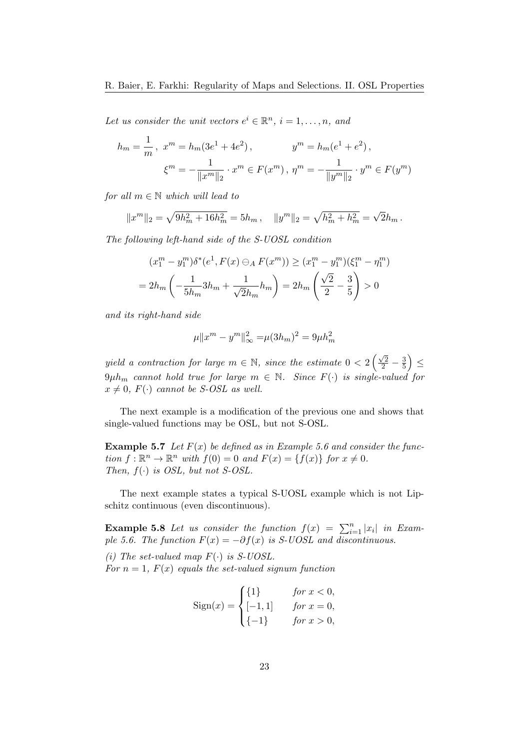Let us consider the unit vectors  $e^i \in \mathbb{R}^n$ ,  $i = 1, \ldots, n$ , and

$$
h_m = \frac{1}{m}, \ x^m = h_m(3e^1 + 4e^2), \qquad y^m = h_m(e^1 + e^2),
$$
  

$$
\xi^m = -\frac{1}{\|x^m\|_2} \cdot x^m \in F(x^m), \ \eta^m = -\frac{1}{\|y^m\|_2} \cdot y^m \in F(y^m)
$$

for all  $m \in \mathbb{N}$  which will lead to

$$
||x^m||_2 = \sqrt{9h_m^2 + 16h_m^2} = 5h_m
$$
,  $||y^m||_2 = \sqrt{h_m^2 + h_m^2} = \sqrt{2h_m}$ .

The following left-hand side of the S-UOSL condition

$$
(x_1^m - y_1^m)\delta^*(e^1, F(x) \ominus_A F(x^m)) \ge (x_1^m - y_1^m)(\xi_1^m - \eta_1^m)
$$
  
=  $2h_m \left( -\frac{1}{5h_m} 3h_m + \frac{1}{\sqrt{2}h_m} h_m \right) = 2h_m \left( \frac{\sqrt{2}}{2} - \frac{3}{5} \right) > 0$ 

and its right-hand side

$$
\mu \|x^m - y^m\|_{\infty}^2 = \mu (3h_m)^2 = 9\mu h_m^2
$$

yield a contraction for large  $m \in \mathbb{N}$ , since the estimate  $0 < 2\left(\frac{\sqrt{2}}{2} - \frac{3}{5}\right)$  $\frac{3}{5}$ )  $\leq$  $9\mu h_m$  cannot hold true for large  $m \in \mathbb{N}$ . Since  $F(\cdot)$  is single-valued for  $x \neq 0$ ,  $F(\cdot)$  cannot be S-OSL as well.

The next example is a modification of the previous one and shows that single-valued functions may be OSL, but not S-OSL.

**Example 5.7** Let  $F(x)$  be defined as in Example 5.6 and consider the function  $f: \mathbb{R}^n \to \mathbb{R}^n$  with  $f(0) = 0$  and  $F(x) = \{f(x)\}\$  for  $x \neq 0$ . Then,  $f(\cdot)$  is OSL, but not S-OSL.

The next example states a typical S-UOSL example which is not Lipschitz continuous (even discontinuous).

**Example 5.8** Let us consider the function  $f(x) = \sum_{i=1}^{n} |x_i|$  in Example 5.6. The function  $F(x) = -\partial f(x)$  is S-UOSL and discontinuous.

(i) The set-valued map  $F(\cdot)$  is S-UOSL.

For  $n = 1$ ,  $F(x)$  equals the set-valued signum function

Sign(x) =   
\n
$$
\begin{cases}\n\{1\} & \text{for } x < 0, \\
[-1, 1] & \text{for } x = 0, \\
\{-1\} & \text{for } x > 0,\n\end{cases}
$$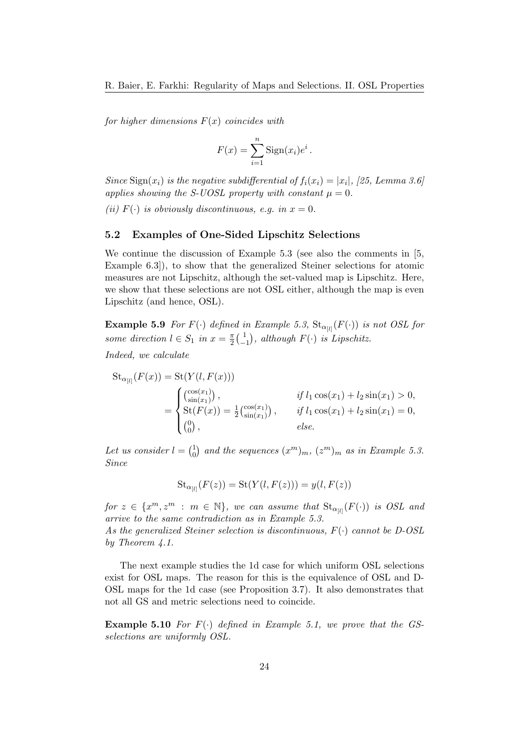for higher dimensions  $F(x)$  coincides with

$$
F(x) = \sum_{i=1}^{n} \text{Sign}(x_i) e^i.
$$

Since  $\text{Sign}(x_i)$  is the negative subdifferential of  $f_i(x_i) = |x_i|, |25, \text{Lemma 3.6}$ applies showing the S-UOSL property with constant  $\mu = 0$ .

(ii)  $F(\cdot)$  is obviously discontinuous, e.g. in  $x = 0$ .

#### 5.2 Examples of One-Sided Lipschitz Selections

We continue the discussion of Example 5.3 (see also the comments in [5, Example 6.3]), to show that the generalized Steiner selections for atomic measures are not Lipschitz, although the set-valued map is Lipschitz. Here, we show that these selections are not OSL either, although the map is even Lipschitz (and hence, OSL).

**Example 5.9** For  $F(\cdot)$  defined in Example 5.3,  $\text{St}_{\alpha_{[l]}}(F(\cdot))$  is not OSL for some direction  $l \in S_1$  in  $x = \frac{\pi}{2}$  $\frac{\pi}{2}$   $\left(\frac{1}{2}\right)$  $\begin{pmatrix} 1 \\ -1 \end{pmatrix}$ , although  $F(\cdot)$  is Lipschitz.

Indeed, we calculate

$$
\operatorname{St}_{\alpha_{[l]}}(F(x)) = \operatorname{St}(Y(l, F(x)))
$$
\n
$$
= \begin{cases}\n\binom{\cos(x_1)}{\sin(x_1)}, & \text{if } l_1 \cos(x_1) + l_2 \sin(x_1) > 0, \\
\operatorname{St}(F(x)) = \frac{1}{2} \binom{\cos(x_1)}{\sin(x_1)}, & \text{if } l_1 \cos(x_1) + l_2 \sin(x_1) = 0, \\
\binom{0}{0}, & \text{else.}\n\end{cases}
$$

Let us consider  $l = \begin{pmatrix} 1 \\ 0 \end{pmatrix}$  $_{0}^{1}$ ) and the sequences  $(x^{m})_{m}$ ,  $(z^{m})_{m}$  as in Example 5.3. Since

$$
\operatorname{St}_{\alpha_{[l]}}(F(z)) = \operatorname{St}(Y(l,F(z))) = y(l,F(z))
$$

for  $z \in \{x^m, z^m : m \in \mathbb{N}\}\$ , we can assume that  $\text{St}_{\alpha_{[l]}}(F(\cdot))$  is OSL and arrive to the same contradiction as in Example 5.3. As the generalized Steiner selection is discontinuous,  $F(\cdot)$  cannot be D-OSL by Theorem 4.1.

The next example studies the 1d case for which uniform OSL selections exist for OSL maps. The reason for this is the equivalence of OSL and D-OSL maps for the 1d case (see Proposition 3.7). It also demonstrates that not all GS and metric selections need to coincide.

**Example 5.10** For  $F(\cdot)$  defined in Example 5.1, we prove that the GSselections are uniformly OSL.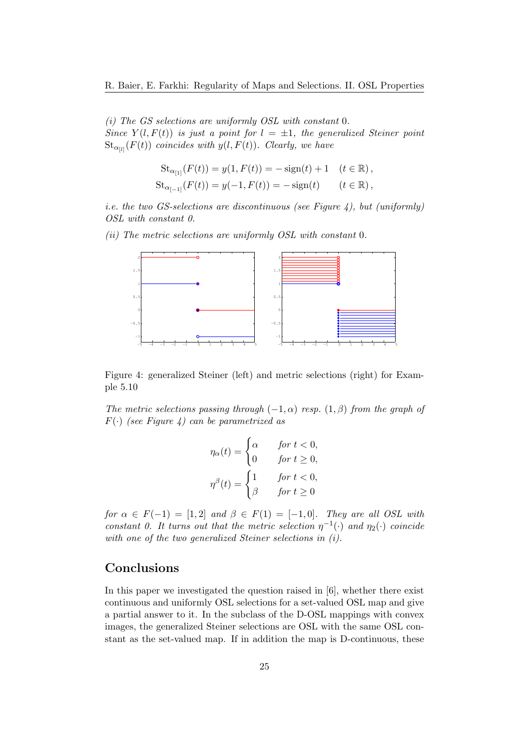(i) The GS selections are uniformly OSL with constant 0. Since  $Y(l, F(t))$  is just a point for  $l = \pm 1$ , the generalized Steiner point  $\operatorname{St}_{\alpha_{[l]}}(F(t))$  coincides with  $y(l, F(t))$ . Clearly, we have

$$
St_{\alpha_{[1]}}(F(t)) = y(1, F(t)) = -\operatorname{sign}(t) + 1 \quad (t \in \mathbb{R}),
$$
  
\n
$$
St_{\alpha_{[-1]}}(F(t)) = y(-1, F(t)) = -\operatorname{sign}(t) \qquad (t \in \mathbb{R}),
$$

*i.e.* the two GS-selections are discontinuous (see Figure 4), but (uniformly) OSL with constant 0.

(ii) The metric selections are uniformly OSL with constant 0.



Figure 4: generalized Steiner (left) and metric selections (right) for Example 5.10

The metric selections passing through  $(-1, \alpha)$  resp.  $(1, \beta)$  from the graph of  $F(\cdot)$  (see Figure 4) can be parametrized as

$$
\eta_{\alpha}(t) = \begin{cases} \alpha & \text{for } t < 0, \\ 0 & \text{for } t \ge 0, \end{cases}
$$

$$
\eta^{\beta}(t) = \begin{cases} 1 & \text{for } t < 0, \\ \beta & \text{for } t \ge 0 \end{cases}
$$

for  $\alpha \in F(-1) = [1, 2]$  and  $\beta \in F(1) = [-1, 0]$ . They are all OSL with constant 0. It turns out that the metric selection  $\eta^{-1}(\cdot)$  and  $\eta_2(\cdot)$  coincide with one of the two generalized Steiner selections in (i).

## Conclusions

In this paper we investigated the question raised in [6], whether there exist continuous and uniformly OSL selections for a set-valued OSL map and give a partial answer to it. In the subclass of the D-OSL mappings with convex images, the generalized Steiner selections are OSL with the same OSL constant as the set-valued map. If in addition the map is D-continuous, these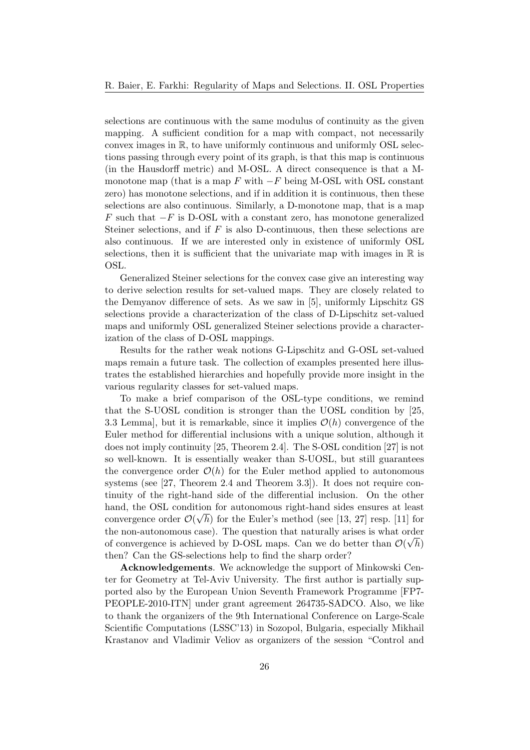selections are continuous with the same modulus of continuity as the given mapping. A sufficient condition for a map with compact, not necessarily convex images in  $\mathbb{R}$ , to have uniformly continuous and uniformly OSL selections passing through every point of its graph, is that this map is continuous (in the Hausdorff metric) and M-OSL. A direct consequence is that a Mmonotone map (that is a map  $F$  with  $-F$  being M-OSL with OSL constant zero) has monotone selections, and if in addition it is continuous, then these selections are also continuous. Similarly, a D-monotone map, that is a map F such that  $-F$  is D-OSL with a constant zero, has monotone generalized Steiner selections, and if  $F$  is also D-continuous, then these selections are also continuous. If we are interested only in existence of uniformly OSL selections, then it is sufficient that the univariate map with images in  $\mathbb R$  is OSL.

Generalized Steiner selections for the convex case give an interesting way to derive selection results for set-valued maps. They are closely related to the Demyanov difference of sets. As we saw in [5], uniformly Lipschitz GS selections provide a characterization of the class of D-Lipschitz set-valued maps and uniformly OSL generalized Steiner selections provide a characterization of the class of D-OSL mappings.

Results for the rather weak notions G-Lipschitz and G-OSL set-valued maps remain a future task. The collection of examples presented here illustrates the established hierarchies and hopefully provide more insight in the various regularity classes for set-valued maps.

To make a brief comparison of the OSL-type conditions, we remind that the S-UOSL condition is stronger than the UOSL condition by [25, 3.3 Lemma], but it is remarkable, since it implies  $\mathcal{O}(h)$  convergence of the Euler method for differential inclusions with a unique solution, although it does not imply continuity [25, Theorem 2.4]. The S-OSL condition [27] is not so well-known. It is essentially weaker than S-UOSL, but still guarantees the convergence order  $\mathcal{O}(h)$  for the Euler method applied to autonomous systems (see [27, Theorem 2.4 and Theorem 3.3]). It does not require continuity of the right-hand side of the differential inclusion. On the other hand, the OSL condition for autonomous right-hand sides ensures at least convergence order  $\mathcal{O}(\sqrt{h})$  for the Euler's method (see [13, 27] resp. [11] for the non-autonomous case). The question that naturally arises is what order of convergence is achieved by D-OSL maps. Can we do better than  $\mathcal{O}(\sqrt{h})$ then? Can the GS-selections help to find the sharp order?

Acknowledgements. We acknowledge the support of Minkowski Center for Geometry at Tel-Aviv University. The first author is partially supported also by the European Union Seventh Framework Programme [FP7- PEOPLE-2010-ITN] under grant agreement 264735-SADCO. Also, we like to thank the organizers of the 9th International Conference on Large-Scale Scientific Computations (LSSC'13) in Sozopol, Bulgaria, especially Mikhail Krastanov and Vladimir Veliov as organizers of the session "Control and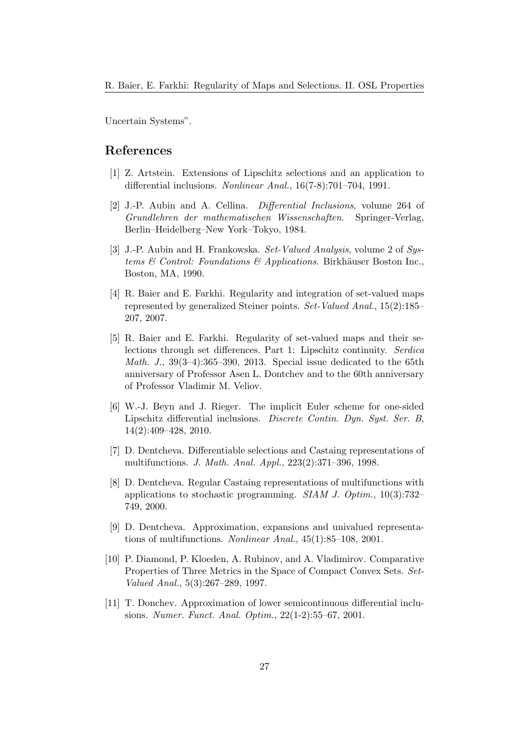Uncertain Systems".

## References

- [1] Z. Artstein. Extensions of Lipschitz selections and an application to differential inclusions. Nonlinear Anal., 16(7-8):701–704, 1991.
- [2] J.-P. Aubin and A. Cellina. Differential Inclusions, volume 264 of Grundlehren der mathematischen Wissenschaften. Springer-Verlag, Berlin–Heidelberg–New York–Tokyo, 1984.
- [3] J.-P. Aubin and H. Frankowska. Set-Valued Analysis, volume 2 of Systems  $\mathcal B$  Control: Foundations  $\mathcal B$  Applications. Birkhäuser Boston Inc., Boston, MA, 1990.
- [4] R. Baier and E. Farkhi. Regularity and integration of set-valued maps represented by generalized Steiner points. Set-Valued Anal., 15(2):185– 207, 2007.
- [5] R. Baier and E. Farkhi. Regularity of set-valued maps and their selections through set differences. Part 1: Lipschitz continuity. Serdica *Math. J.*,  $39(3-4):365-390$ , 2013. Special issue dedicated to the 65th anniversary of Professor Asen L. Dontchev and to the 60th anniversary of Professor Vladimir M. Veliov.
- [6] W.-J. Beyn and J. Rieger. The implicit Euler scheme for one-sided Lipschitz differential inclusions. Discrete Contin. Dyn. Syst. Ser. B, 14(2):409–428, 2010.
- [7] D. Dentcheva. Differentiable selections and Castaing representations of multifunctions. J. Math. Anal. Appl., 223(2):371–396, 1998.
- [8] D. Dentcheva. Regular Castaing representations of multifunctions with applications to stochastic programming. SIAM J. Optim., 10(3):732– 749, 2000.
- [9] D. Dentcheva. Approximation, expansions and univalued representations of multifunctions. Nonlinear Anal., 45(1):85–108, 2001.
- [10] P. Diamond, P. Kloeden, A. Rubinov, and A. Vladimirov. Comparative Properties of Three Metrics in the Space of Compact Convex Sets. Set-Valued Anal., 5(3):267–289, 1997.
- [11] T. Donchev. Approximation of lower semicontinuous differential inclusions. Numer. Funct. Anal. Optim., 22(1-2):55–67, 2001.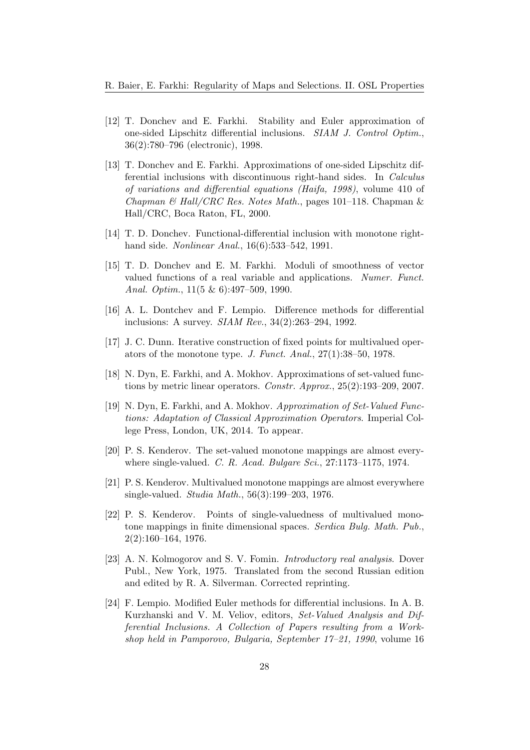- [12] T. Donchev and E. Farkhi. Stability and Euler approximation of one-sided Lipschitz differential inclusions. SIAM J. Control Optim., 36(2):780–796 (electronic), 1998.
- [13] T. Donchev and E. Farkhi. Approximations of one-sided Lipschitz differential inclusions with discontinuous right-hand sides. In Calculus of variations and differential equations (Haifa, 1998), volume 410 of Chapman & Hall/CRC Res. Notes Math., pages 101–118. Chapman & Hall/CRC, Boca Raton, FL, 2000.
- [14] T. D. Donchev. Functional-differential inclusion with monotone righthand side. Nonlinear Anal., 16(6):533–542, 1991.
- [15] T. D. Donchev and E. M. Farkhi. Moduli of smoothness of vector valued functions of a real variable and applications. Numer. Funct. Anal. Optim., 11(5 & 6):497–509, 1990.
- [16] A. L. Dontchev and F. Lempio. Difference methods for differential inclusions: A survey. SIAM Rev., 34(2):263–294, 1992.
- [17] J. C. Dunn. Iterative construction of fixed points for multivalued operators of the monotone type. J. Funct. Anal., 27(1):38–50, 1978.
- [18] N. Dyn, E. Farkhi, and A. Mokhov. Approximations of set-valued functions by metric linear operators. Constr. Approx., 25(2):193–209, 2007.
- [19] N. Dyn, E. Farkhi, and A. Mokhov. Approximation of Set-Valued Functions: Adaptation of Classical Approximation Operators. Imperial College Press, London, UK, 2014. To appear.
- [20] P. S. Kenderov. The set-valued monotone mappings are almost everywhere single-valued. C. R. Acad. Bulgare Sci., 27:1173-1175, 1974.
- [21] P. S. Kenderov. Multivalued monotone mappings are almost everywhere single-valued. Studia Math., 56(3):199–203, 1976.
- [22] P. S. Kenderov. Points of single-valuedness of multivalued monotone mappings in finite dimensional spaces. Serdica Bulg. Math. Pub., 2(2):160–164, 1976.
- [23] A. N. Kolmogorov and S. V. Fomin. *Introductory real analysis*. Dover Publ., New York, 1975. Translated from the second Russian edition and edited by R. A. Silverman. Corrected reprinting.
- [24] F. Lempio. Modified Euler methods for differential inclusions. In A. B. Kurzhanski and V. M. Veliov, editors, Set-Valued Analysis and Differential Inclusions. A Collection of Papers resulting from a Workshop held in Pamporovo, Bulgaria, September 17–21, 1990, volume 16